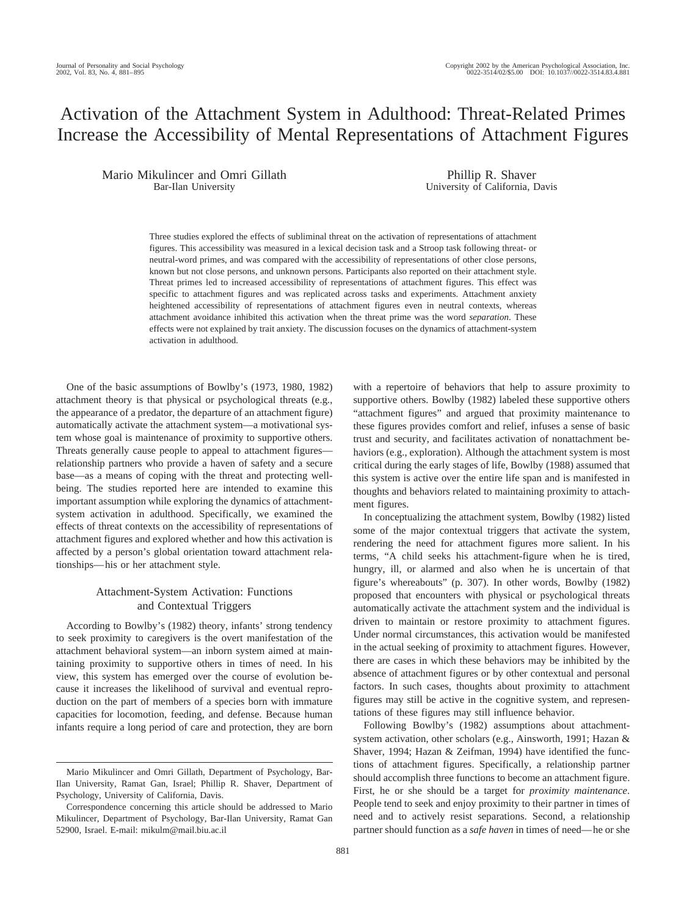# Activation of the Attachment System in Adulthood: Threat-Related Primes Increase the Accessibility of Mental Representations of Attachment Figures

Mario Mikulincer and Omri Gillath Bar-Ilan University

Phillip R. Shaver University of California, Davis

Three studies explored the effects of subliminal threat on the activation of representations of attachment figures. This accessibility was measured in a lexical decision task and a Stroop task following threat- or neutral-word primes, and was compared with the accessibility of representations of other close persons, known but not close persons, and unknown persons. Participants also reported on their attachment style. Threat primes led to increased accessibility of representations of attachment figures. This effect was specific to attachment figures and was replicated across tasks and experiments. Attachment anxiety heightened accessibility of representations of attachment figures even in neutral contexts, whereas attachment avoidance inhibited this activation when the threat prime was the word *separation*. These effects were not explained by trait anxiety. The discussion focuses on the dynamics of attachment-system activation in adulthood.

One of the basic assumptions of Bowlby's (1973, 1980, 1982) attachment theory is that physical or psychological threats (e.g., the appearance of a predator, the departure of an attachment figure) automatically activate the attachment system—a motivational system whose goal is maintenance of proximity to supportive others. Threats generally cause people to appeal to attachment figures relationship partners who provide a haven of safety and a secure base—as a means of coping with the threat and protecting wellbeing. The studies reported here are intended to examine this important assumption while exploring the dynamics of attachmentsystem activation in adulthood. Specifically, we examined the effects of threat contexts on the accessibility of representations of attachment figures and explored whether and how this activation is affected by a person's global orientation toward attachment relationships—his or her attachment style.

# Attachment-System Activation: Functions and Contextual Triggers

According to Bowlby's (1982) theory, infants' strong tendency to seek proximity to caregivers is the overt manifestation of the attachment behavioral system—an inborn system aimed at maintaining proximity to supportive others in times of need. In his view, this system has emerged over the course of evolution because it increases the likelihood of survival and eventual reproduction on the part of members of a species born with immature capacities for locomotion, feeding, and defense. Because human infants require a long period of care and protection, they are born

with a repertoire of behaviors that help to assure proximity to supportive others. Bowlby (1982) labeled these supportive others "attachment figures" and argued that proximity maintenance to these figures provides comfort and relief, infuses a sense of basic trust and security, and facilitates activation of nonattachment behaviors (e.g., exploration). Although the attachment system is most critical during the early stages of life, Bowlby (1988) assumed that this system is active over the entire life span and is manifested in thoughts and behaviors related to maintaining proximity to attachment figures.

In conceptualizing the attachment system, Bowlby (1982) listed some of the major contextual triggers that activate the system, rendering the need for attachment figures more salient. In his terms, "A child seeks his attachment-figure when he is tired, hungry, ill, or alarmed and also when he is uncertain of that figure's whereabouts" (p. 307). In other words, Bowlby (1982) proposed that encounters with physical or psychological threats automatically activate the attachment system and the individual is driven to maintain or restore proximity to attachment figures. Under normal circumstances, this activation would be manifested in the actual seeking of proximity to attachment figures. However, there are cases in which these behaviors may be inhibited by the absence of attachment figures or by other contextual and personal factors. In such cases, thoughts about proximity to attachment figures may still be active in the cognitive system, and representations of these figures may still influence behavior.

Following Bowlby's (1982) assumptions about attachmentsystem activation, other scholars (e.g., Ainsworth, 1991; Hazan & Shaver, 1994; Hazan & Zeifman, 1994) have identified the functions of attachment figures. Specifically, a relationship partner should accomplish three functions to become an attachment figure. First, he or she should be a target for *proximity maintenance*. People tend to seek and enjoy proximity to their partner in times of need and to actively resist separations. Second, a relationship partner should function as a *safe haven* in times of need—he or she

Mario Mikulincer and Omri Gillath, Department of Psychology, Bar-Ilan University, Ramat Gan, Israel; Phillip R. Shaver, Department of Psychology, University of California, Davis.

Correspondence concerning this article should be addressed to Mario Mikulincer, Department of Psychology, Bar-Ilan University, Ramat Gan 52900, Israel. E-mail: mikulm@mail.biu.ac.il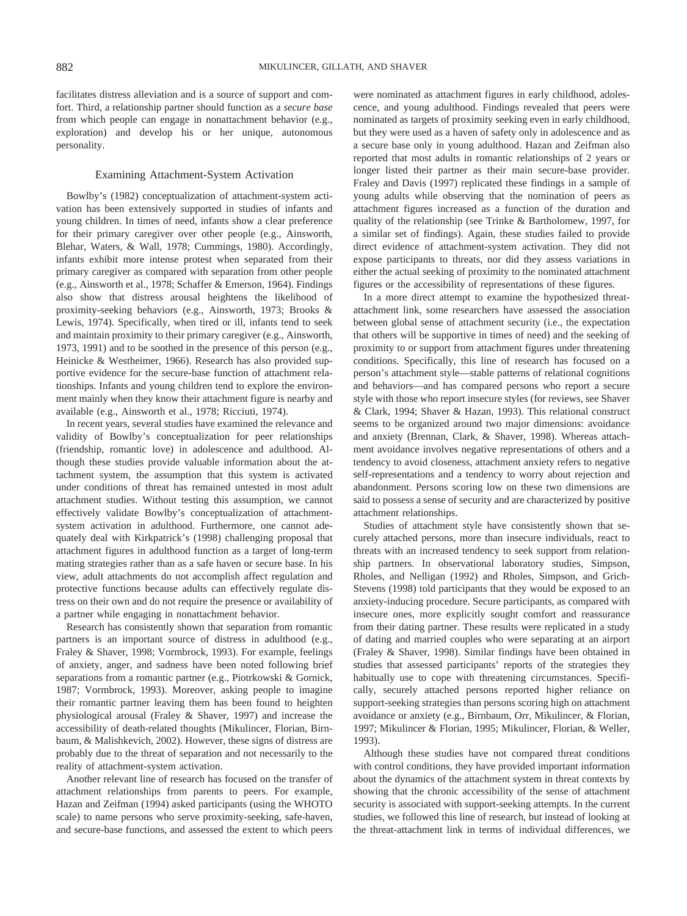facilitates distress alleviation and is a source of support and comfort. Third, a relationship partner should function as a *secure base* from which people can engage in nonattachment behavior (e.g., exploration) and develop his or her unique, autonomous personality.

# Examining Attachment-System Activation

Bowlby's (1982) conceptualization of attachment-system activation has been extensively supported in studies of infants and young children. In times of need, infants show a clear preference for their primary caregiver over other people (e.g., Ainsworth, Blehar, Waters, & Wall, 1978; Cummings, 1980). Accordingly, infants exhibit more intense protest when separated from their primary caregiver as compared with separation from other people (e.g., Ainsworth et al., 1978; Schaffer & Emerson, 1964). Findings also show that distress arousal heightens the likelihood of proximity-seeking behaviors (e.g., Ainsworth, 1973; Brooks & Lewis, 1974). Specifically, when tired or ill, infants tend to seek and maintain proximity to their primary caregiver (e.g., Ainsworth, 1973, 1991) and to be soothed in the presence of this person (e.g., Heinicke & Westheimer, 1966). Research has also provided supportive evidence for the secure-base function of attachment relationships. Infants and young children tend to explore the environment mainly when they know their attachment figure is nearby and available (e.g., Ainsworth et al., 1978; Ricciuti, 1974).

In recent years, several studies have examined the relevance and validity of Bowlby's conceptualization for peer relationships (friendship, romantic love) in adolescence and adulthood. Although these studies provide valuable information about the attachment system, the assumption that this system is activated under conditions of threat has remained untested in most adult attachment studies. Without testing this assumption, we cannot effectively validate Bowlby's conceptualization of attachmentsystem activation in adulthood. Furthermore, one cannot adequately deal with Kirkpatrick's (1998) challenging proposal that attachment figures in adulthood function as a target of long-term mating strategies rather than as a safe haven or secure base. In his view, adult attachments do not accomplish affect regulation and protective functions because adults can effectively regulate distress on their own and do not require the presence or availability of a partner while engaging in nonattachment behavior.

Research has consistently shown that separation from romantic partners is an important source of distress in adulthood (e.g., Fraley & Shaver, 1998; Vormbrock, 1993). For example, feelings of anxiety, anger, and sadness have been noted following brief separations from a romantic partner (e.g., Piotrkowski & Gornick, 1987; Vormbrock, 1993). Moreover, asking people to imagine their romantic partner leaving them has been found to heighten physiological arousal (Fraley & Shaver, 1997) and increase the accessibility of death-related thoughts (Mikulincer, Florian, Birnbaum, & Malishkevich, 2002). However, these signs of distress are probably due to the threat of separation and not necessarily to the reality of attachment-system activation.

Another relevant line of research has focused on the transfer of attachment relationships from parents to peers. For example, Hazan and Zeifman (1994) asked participants (using the WHOTO scale) to name persons who serve proximity-seeking, safe-haven, and secure-base functions, and assessed the extent to which peers

were nominated as attachment figures in early childhood, adolescence, and young adulthood. Findings revealed that peers were nominated as targets of proximity seeking even in early childhood, but they were used as a haven of safety only in adolescence and as a secure base only in young adulthood. Hazan and Zeifman also reported that most adults in romantic relationships of 2 years or longer listed their partner as their main secure-base provider. Fraley and Davis (1997) replicated these findings in a sample of young adults while observing that the nomination of peers as attachment figures increased as a function of the duration and quality of the relationship (see Trinke & Bartholomew, 1997, for a similar set of findings). Again, these studies failed to provide direct evidence of attachment-system activation. They did not expose participants to threats, nor did they assess variations in either the actual seeking of proximity to the nominated attachment figures or the accessibility of representations of these figures.

In a more direct attempt to examine the hypothesized threatattachment link, some researchers have assessed the association between global sense of attachment security (i.e., the expectation that others will be supportive in times of need) and the seeking of proximity to or support from attachment figures under threatening conditions. Specifically, this line of research has focused on a person's attachment style—stable patterns of relational cognitions and behaviors—and has compared persons who report a secure style with those who report insecure styles (for reviews, see Shaver & Clark, 1994; Shaver & Hazan, 1993). This relational construct seems to be organized around two major dimensions: avoidance and anxiety (Brennan, Clark, & Shaver, 1998). Whereas attachment avoidance involves negative representations of others and a tendency to avoid closeness, attachment anxiety refers to negative self-representations and a tendency to worry about rejection and abandonment. Persons scoring low on these two dimensions are said to possess a sense of security and are characterized by positive attachment relationships.

Studies of attachment style have consistently shown that securely attached persons, more than insecure individuals, react to threats with an increased tendency to seek support from relationship partners. In observational laboratory studies, Simpson, Rholes, and Nelligan (1992) and Rholes, Simpson, and Grich-Stevens (1998) told participants that they would be exposed to an anxiety-inducing procedure. Secure participants, as compared with insecure ones, more explicitly sought comfort and reassurance from their dating partner. These results were replicated in a study of dating and married couples who were separating at an airport (Fraley & Shaver, 1998). Similar findings have been obtained in studies that assessed participants' reports of the strategies they habitually use to cope with threatening circumstances. Specifically, securely attached persons reported higher reliance on support-seeking strategies than persons scoring high on attachment avoidance or anxiety (e.g., Birnbaum, Orr, Mikulincer, & Florian, 1997; Mikulincer & Florian, 1995; Mikulincer, Florian, & Weller, 1993).

Although these studies have not compared threat conditions with control conditions, they have provided important information about the dynamics of the attachment system in threat contexts by showing that the chronic accessibility of the sense of attachment security is associated with support-seeking attempts. In the current studies, we followed this line of research, but instead of looking at the threat-attachment link in terms of individual differences, we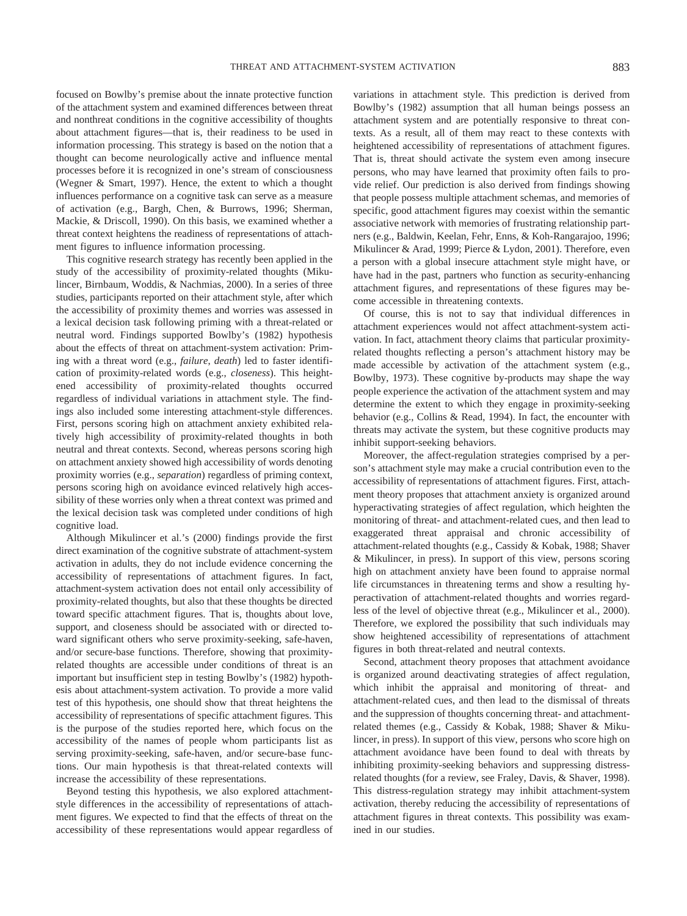focused on Bowlby's premise about the innate protective function of the attachment system and examined differences between threat and nonthreat conditions in the cognitive accessibility of thoughts about attachment figures—that is, their readiness to be used in information processing. This strategy is based on the notion that a thought can become neurologically active and influence mental processes before it is recognized in one's stream of consciousness (Wegner & Smart, 1997). Hence, the extent to which a thought influences performance on a cognitive task can serve as a measure of activation (e.g., Bargh, Chen, & Burrows, 1996; Sherman, Mackie, & Driscoll, 1990). On this basis, we examined whether a threat context heightens the readiness of representations of attachment figures to influence information processing.

This cognitive research strategy has recently been applied in the study of the accessibility of proximity-related thoughts (Mikulincer, Birnbaum, Woddis, & Nachmias, 2000). In a series of three studies, participants reported on their attachment style, after which the accessibility of proximity themes and worries was assessed in a lexical decision task following priming with a threat-related or neutral word. Findings supported Bowlby's (1982) hypothesis about the effects of threat on attachment-system activation: Priming with a threat word (e.g., *failure*, *death*) led to faster identification of proximity-related words (e.g., *closeness*). This heightened accessibility of proximity-related thoughts occurred regardless of individual variations in attachment style. The findings also included some interesting attachment-style differences. First, persons scoring high on attachment anxiety exhibited relatively high accessibility of proximity-related thoughts in both neutral and threat contexts. Second, whereas persons scoring high on attachment anxiety showed high accessibility of words denoting proximity worries (e.g., *separation*) regardless of priming context, persons scoring high on avoidance evinced relatively high accessibility of these worries only when a threat context was primed and the lexical decision task was completed under conditions of high cognitive load.

Although Mikulincer et al.'s (2000) findings provide the first direct examination of the cognitive substrate of attachment-system activation in adults, they do not include evidence concerning the accessibility of representations of attachment figures. In fact, attachment-system activation does not entail only accessibility of proximity-related thoughts, but also that these thoughts be directed toward specific attachment figures. That is, thoughts about love, support, and closeness should be associated with or directed toward significant others who serve proximity-seeking, safe-haven, and/or secure-base functions. Therefore, showing that proximityrelated thoughts are accessible under conditions of threat is an important but insufficient step in testing Bowlby's (1982) hypothesis about attachment-system activation. To provide a more valid test of this hypothesis, one should show that threat heightens the accessibility of representations of specific attachment figures. This is the purpose of the studies reported here, which focus on the accessibility of the names of people whom participants list as serving proximity-seeking, safe-haven, and/or secure-base functions. Our main hypothesis is that threat-related contexts will increase the accessibility of these representations.

Beyond testing this hypothesis, we also explored attachmentstyle differences in the accessibility of representations of attachment figures. We expected to find that the effects of threat on the accessibility of these representations would appear regardless of variations in attachment style. This prediction is derived from Bowlby's (1982) assumption that all human beings possess an attachment system and are potentially responsive to threat contexts. As a result, all of them may react to these contexts with heightened accessibility of representations of attachment figures. That is, threat should activate the system even among insecure persons, who may have learned that proximity often fails to provide relief. Our prediction is also derived from findings showing that people possess multiple attachment schemas, and memories of specific, good attachment figures may coexist within the semantic associative network with memories of frustrating relationship partners (e.g., Baldwin, Keelan, Fehr, Enns, & Koh-Rangarajoo, 1996; Mikulincer & Arad, 1999; Pierce & Lydon, 2001). Therefore, even a person with a global insecure attachment style might have, or have had in the past, partners who function as security-enhancing attachment figures, and representations of these figures may become accessible in threatening contexts.

Of course, this is not to say that individual differences in attachment experiences would not affect attachment-system activation. In fact, attachment theory claims that particular proximityrelated thoughts reflecting a person's attachment history may be made accessible by activation of the attachment system (e.g., Bowlby, 1973). These cognitive by-products may shape the way people experience the activation of the attachment system and may determine the extent to which they engage in proximity-seeking behavior (e.g., Collins & Read, 1994). In fact, the encounter with threats may activate the system, but these cognitive products may inhibit support-seeking behaviors.

Moreover, the affect-regulation strategies comprised by a person's attachment style may make a crucial contribution even to the accessibility of representations of attachment figures. First, attachment theory proposes that attachment anxiety is organized around hyperactivating strategies of affect regulation, which heighten the monitoring of threat- and attachment-related cues, and then lead to exaggerated threat appraisal and chronic accessibility of attachment-related thoughts (e.g., Cassidy & Kobak, 1988; Shaver & Mikulincer, in press). In support of this view, persons scoring high on attachment anxiety have been found to appraise normal life circumstances in threatening terms and show a resulting hyperactivation of attachment-related thoughts and worries regardless of the level of objective threat (e.g., Mikulincer et al., 2000). Therefore, we explored the possibility that such individuals may show heightened accessibility of representations of attachment figures in both threat-related and neutral contexts.

Second, attachment theory proposes that attachment avoidance is organized around deactivating strategies of affect regulation, which inhibit the appraisal and monitoring of threat- and attachment-related cues, and then lead to the dismissal of threats and the suppression of thoughts concerning threat- and attachmentrelated themes (e.g., Cassidy & Kobak, 1988; Shaver & Mikulincer, in press). In support of this view, persons who score high on attachment avoidance have been found to deal with threats by inhibiting proximity-seeking behaviors and suppressing distressrelated thoughts (for a review, see Fraley, Davis, & Shaver, 1998). This distress-regulation strategy may inhibit attachment-system activation, thereby reducing the accessibility of representations of attachment figures in threat contexts. This possibility was examined in our studies.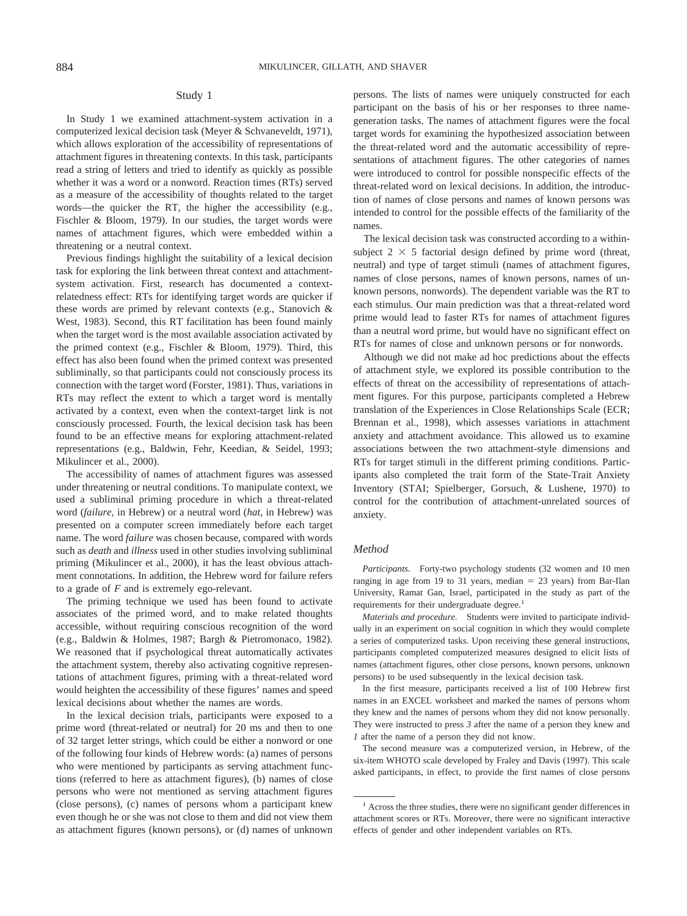# Study 1

In Study 1 we examined attachment-system activation in a computerized lexical decision task (Meyer & Schvaneveldt, 1971), which allows exploration of the accessibility of representations of attachment figures in threatening contexts. In this task, participants read a string of letters and tried to identify as quickly as possible whether it was a word or a nonword. Reaction times (RTs) served as a measure of the accessibility of thoughts related to the target words—the quicker the RT, the higher the accessibility (e.g., Fischler & Bloom, 1979). In our studies, the target words were names of attachment figures, which were embedded within a threatening or a neutral context.

Previous findings highlight the suitability of a lexical decision task for exploring the link between threat context and attachmentsystem activation. First, research has documented a contextrelatedness effect: RTs for identifying target words are quicker if these words are primed by relevant contexts (e.g., Stanovich & West, 1983). Second, this RT facilitation has been found mainly when the target word is the most available association activated by the primed context (e.g., Fischler & Bloom, 1979). Third, this effect has also been found when the primed context was presented subliminally, so that participants could not consciously process its connection with the target word (Forster, 1981). Thus, variations in RTs may reflect the extent to which a target word is mentally activated by a context, even when the context-target link is not consciously processed. Fourth, the lexical decision task has been found to be an effective means for exploring attachment-related representations (e.g., Baldwin, Fehr, Keedian, & Seidel, 1993; Mikulincer et al., 2000).

The accessibility of names of attachment figures was assessed under threatening or neutral conditions. To manipulate context, we used a subliminal priming procedure in which a threat-related word (*failure*, in Hebrew) or a neutral word (*hat*, in Hebrew) was presented on a computer screen immediately before each target name. The word *failure* was chosen because, compared with words such as *death* and *illness* used in other studies involving subliminal priming (Mikulincer et al., 2000), it has the least obvious attachment connotations. In addition, the Hebrew word for failure refers to a grade of *F* and is extremely ego-relevant.

The priming technique we used has been found to activate associates of the primed word, and to make related thoughts accessible, without requiring conscious recognition of the word (e.g., Baldwin & Holmes, 1987; Bargh & Pietromonaco, 1982). We reasoned that if psychological threat automatically activates the attachment system, thereby also activating cognitive representations of attachment figures, priming with a threat-related word would heighten the accessibility of these figures' names and speed lexical decisions about whether the names are words.

In the lexical decision trials, participants were exposed to a prime word (threat-related or neutral) for 20 ms and then to one of 32 target letter strings, which could be either a nonword or one of the following four kinds of Hebrew words: (a) names of persons who were mentioned by participants as serving attachment functions (referred to here as attachment figures), (b) names of close persons who were not mentioned as serving attachment figures (close persons), (c) names of persons whom a participant knew even though he or she was not close to them and did not view them as attachment figures (known persons), or (d) names of unknown persons. The lists of names were uniquely constructed for each participant on the basis of his or her responses to three namegeneration tasks. The names of attachment figures were the focal target words for examining the hypothesized association between the threat-related word and the automatic accessibility of representations of attachment figures. The other categories of names were introduced to control for possible nonspecific effects of the threat-related word on lexical decisions. In addition, the introduction of names of close persons and names of known persons was intended to control for the possible effects of the familiarity of the names.

The lexical decision task was constructed according to a withinsubject 2  $\times$  5 factorial design defined by prime word (threat, neutral) and type of target stimuli (names of attachment figures, names of close persons, names of known persons, names of unknown persons, nonwords). The dependent variable was the RT to each stimulus. Our main prediction was that a threat-related word prime would lead to faster RTs for names of attachment figures than a neutral word prime, but would have no significant effect on RTs for names of close and unknown persons or for nonwords.

Although we did not make ad hoc predictions about the effects of attachment style, we explored its possible contribution to the effects of threat on the accessibility of representations of attachment figures. For this purpose, participants completed a Hebrew translation of the Experiences in Close Relationships Scale (ECR; Brennan et al., 1998), which assesses variations in attachment anxiety and attachment avoidance. This allowed us to examine associations between the two attachment-style dimensions and RTs for target stimuli in the different priming conditions. Participants also completed the trait form of the State-Trait Anxiety Inventory (STAI; Spielberger, Gorsuch, & Lushene, 1970) to control for the contribution of attachment-unrelated sources of anxiety.

## *Method*

*Participants.* Forty-two psychology students (32 women and 10 men ranging in age from 19 to 31 years, median  $= 23$  years) from Bar-Ilan University, Ramat Gan, Israel, participated in the study as part of the requirements for their undergraduate degree.<sup>1</sup>

*Materials and procedure.* Students were invited to participate individually in an experiment on social cognition in which they would complete a series of computerized tasks. Upon receiving these general instructions, participants completed computerized measures designed to elicit lists of names (attachment figures, other close persons, known persons, unknown persons) to be used subsequently in the lexical decision task.

In the first measure, participants received a list of 100 Hebrew first names in an EXCEL worksheet and marked the names of persons whom they knew and the names of persons whom they did not know personally. They were instructed to press *3* after the name of a person they knew and *1* after the name of a person they did not know.

The second measure was a computerized version, in Hebrew, of the six-item WHOTO scale developed by Fraley and Davis (1997). This scale asked participants, in effect, to provide the first names of close persons

<sup>&</sup>lt;sup>1</sup> Across the three studies, there were no significant gender differences in attachment scores or RTs. Moreover, there were no significant interactive effects of gender and other independent variables on RTs.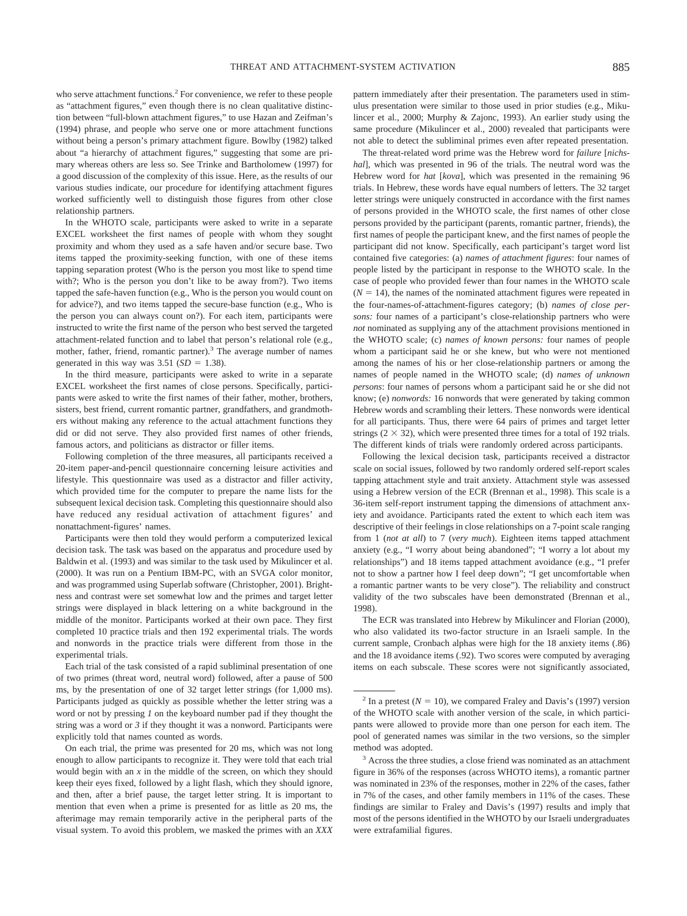who serve attachment functions.<sup>2</sup> For convenience, we refer to these people as "attachment figures," even though there is no clean qualitative distinction between "full-blown attachment figures," to use Hazan and Zeifman's (1994) phrase, and people who serve one or more attachment functions without being a person's primary attachment figure. Bowlby (1982) talked about "a hierarchy of attachment figures," suggesting that some are primary whereas others are less so. See Trinke and Bartholomew (1997) for a good discussion of the complexity of this issue. Here, as the results of our various studies indicate, our procedure for identifying attachment figures worked sufficiently well to distinguish those figures from other close relationship partners.

In the WHOTO scale, participants were asked to write in a separate EXCEL worksheet the first names of people with whom they sought proximity and whom they used as a safe haven and/or secure base. Two items tapped the proximity-seeking function, with one of these items tapping separation protest (Who is the person you most like to spend time with?; Who is the person you don't like to be away from?). Two items tapped the safe-haven function (e.g., Who is the person you would count on for advice?), and two items tapped the secure-base function (e.g., Who is the person you can always count on?). For each item, participants were instructed to write the first name of the person who best served the targeted attachment-related function and to label that person's relational role (e.g., mother, father, friend, romantic partner).<sup>3</sup> The average number of names generated in this way was  $3.51$  ( $SD = 1.38$ ).

In the third measure, participants were asked to write in a separate EXCEL worksheet the first names of close persons. Specifically, participants were asked to write the first names of their father, mother, brothers, sisters, best friend, current romantic partner, grandfathers, and grandmothers without making any reference to the actual attachment functions they did or did not serve. They also provided first names of other friends, famous actors, and politicians as distractor or filler items.

Following completion of the three measures, all participants received a 20-item paper-and-pencil questionnaire concerning leisure activities and lifestyle. This questionnaire was used as a distractor and filler activity, which provided time for the computer to prepare the name lists for the subsequent lexical decision task. Completing this questionnaire should also have reduced any residual activation of attachment figures' and nonattachment-figures' names.

Participants were then told they would perform a computerized lexical decision task. The task was based on the apparatus and procedure used by Baldwin et al. (1993) and was similar to the task used by Mikulincer et al. (2000). It was run on a Pentium IBM-PC, with an SVGA color monitor, and was programmed using Superlab software (Christopher, 2001). Brightness and contrast were set somewhat low and the primes and target letter strings were displayed in black lettering on a white background in the middle of the monitor. Participants worked at their own pace. They first completed 10 practice trials and then 192 experimental trials. The words and nonwords in the practice trials were different from those in the experimental trials.

Each trial of the task consisted of a rapid subliminal presentation of one of two primes (threat word, neutral word) followed, after a pause of 500 ms, by the presentation of one of 32 target letter strings (for 1,000 ms). Participants judged as quickly as possible whether the letter string was a word or not by pressing *1* on the keyboard number pad if they thought the string was a word or *3* if they thought it was a nonword. Participants were explicitly told that names counted as words.

On each trial, the prime was presented for 20 ms, which was not long enough to allow participants to recognize it. They were told that each trial would begin with an *x* in the middle of the screen, on which they should keep their eyes fixed, followed by a light flash, which they should ignore, and then, after a brief pause, the target letter string. It is important to mention that even when a prime is presented for as little as 20 ms, the afterimage may remain temporarily active in the peripheral parts of the visual system. To avoid this problem, we masked the primes with an *XXX*

pattern immediately after their presentation. The parameters used in stimulus presentation were similar to those used in prior studies (e.g., Mikulincer et al., 2000; Murphy & Zajonc, 1993). An earlier study using the same procedure (Mikulincer et al., 2000) revealed that participants were not able to detect the subliminal primes even after repeated presentation.

The threat-related word prime was the Hebrew word for *failure* [*nichshal*], which was presented in 96 of the trials. The neutral word was the Hebrew word for *hat* [*kova*], which was presented in the remaining 96 trials. In Hebrew, these words have equal numbers of letters. The 32 target letter strings were uniquely constructed in accordance with the first names of persons provided in the WHOTO scale, the first names of other close persons provided by the participant (parents, romantic partner, friends), the first names of people the participant knew, and the first names of people the participant did not know. Specifically, each participant's target word list contained five categories: (a) *names of attachment figures*: four names of people listed by the participant in response to the WHOTO scale. In the case of people who provided fewer than four names in the WHOTO scale  $(N = 14)$ , the names of the nominated attachment figures were repeated in the four-names-of-attachment-figures category; (b) *names of close persons:* four names of a participant's close-relationship partners who were *not* nominated as supplying any of the attachment provisions mentioned in the WHOTO scale; (c) *names of known persons:* four names of people whom a participant said he or she knew, but who were not mentioned among the names of his or her close-relationship partners or among the names of people named in the WHOTO scale; (d) *names of unknown persons*: four names of persons whom a participant said he or she did not know; (e) *nonwords:* 16 nonwords that were generated by taking common Hebrew words and scrambling their letters. These nonwords were identical for all participants. Thus, there were 64 pairs of primes and target letter strings  $(2 \times 32)$ , which were presented three times for a total of 192 trials. The different kinds of trials were randomly ordered across participants.

Following the lexical decision task, participants received a distractor scale on social issues, followed by two randomly ordered self-report scales tapping attachment style and trait anxiety. Attachment style was assessed using a Hebrew version of the ECR (Brennan et al., 1998). This scale is a 36-item self-report instrument tapping the dimensions of attachment anxiety and avoidance. Participants rated the extent to which each item was descriptive of their feelings in close relationships on a 7-point scale ranging from 1 (*not at all*) to 7 (*very much*). Eighteen items tapped attachment anxiety (e.g., "I worry about being abandoned"; "I worry a lot about my relationships") and 18 items tapped attachment avoidance (e.g., "I prefer not to show a partner how I feel deep down"; "I get uncomfortable when a romantic partner wants to be very close"). The reliability and construct validity of the two subscales have been demonstrated (Brennan et al., 1998).

The ECR was translated into Hebrew by Mikulincer and Florian (2000), who also validated its two-factor structure in an Israeli sample. In the current sample, Cronbach alphas were high for the 18 anxiety items (.86) and the 18 avoidance items (.92). Two scores were computed by averaging items on each subscale. These scores were not significantly associated,

<sup>&</sup>lt;sup>2</sup> In a pretest ( $N = 10$ ), we compared Fraley and Davis's (1997) version of the WHOTO scale with another version of the scale, in which participants were allowed to provide more than one person for each item. The pool of generated names was similar in the two versions, so the simpler method was adopted.

<sup>&</sup>lt;sup>3</sup> Across the three studies, a close friend was nominated as an attachment figure in 36% of the responses (across WHOTO items), a romantic partner was nominated in 23% of the responses, mother in 22% of the cases, father in 7% of the cases, and other family members in 11% of the cases. These findings are similar to Fraley and Davis's (1997) results and imply that most of the persons identified in the WHOTO by our Israeli undergraduates were extrafamilial figures.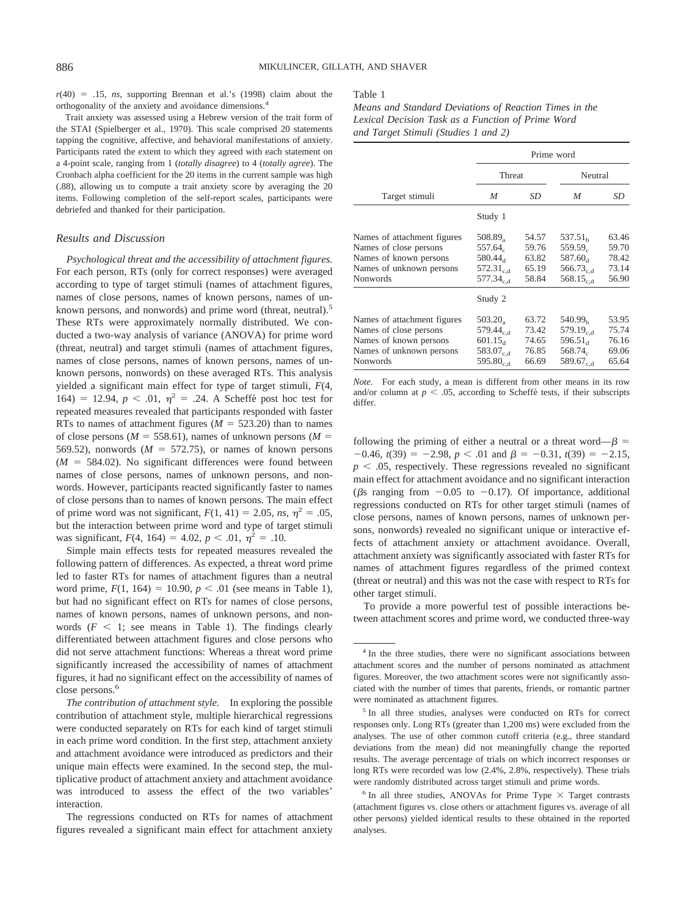$r(40)$  = .15, *ns*, supporting Brennan et al.'s (1998) claim about the orthogonality of the anxiety and avoidance dimensions.4

Trait anxiety was assessed using a Hebrew version of the trait form of the STAI (Spielberger et al., 1970). This scale comprised 20 statements tapping the cognitive, affective, and behavioral manifestations of anxiety. Participants rated the extent to which they agreed with each statement on a 4-point scale, ranging from 1 (*totally disagree*) to 4 (*totally agree*). The Cronbach alpha coefficient for the 20 items in the current sample was high (.88), allowing us to compute a trait anxiety score by averaging the 20 items. Following completion of the self-report scales, participants were debriefed and thanked for their participation.

#### *Results and Discussion*

*Psychological threat and the accessibility of attachment figures.* For each person, RTs (only for correct responses) were averaged according to type of target stimuli (names of attachment figures, names of close persons, names of known persons, names of unknown persons, and nonwords) and prime word (threat, neutral).<sup>5</sup> These RTs were approximately normally distributed. We conducted a two-way analysis of variance (ANOVA) for prime word (threat, neutral) and target stimuli (names of attachment figures, names of close persons, names of known persons, names of unknown persons, nonwords) on these averaged RTs. This analysis yielded a significant main effect for type of target stimuli, *F*(4, 164) = 12.94,  $p < .01$ ,  $\eta^2 = .24$ . A Scheffe<sup>c</sup> post hoc test for repeated measures revealed that participants responded with faster RTs to names of attachment figures  $(M = 523.20)$  than to names of close persons ( $M = 558.61$ ), names of unknown persons ( $M =$ 569.52), nonwords  $(M = 572.75)$ , or names of known persons  $(M = 584.02)$ . No significant differences were found between names of close persons, names of unknown persons, and nonwords. However, participants reacted significantly faster to names of close persons than to names of known persons. The main effect of prime word was not significant,  $F(1, 41) = 2.05$ , *ns*,  $\eta^2 = .05$ , but the interaction between prime word and type of target stimuli was significant,  $F(4, 164) = 4.02$ ,  $p < .01$ ,  $\eta^2 = .10$ .

Simple main effects tests for repeated measures revealed the following pattern of differences. As expected, a threat word prime led to faster RTs for names of attachment figures than a neutral word prime,  $F(1, 164) = 10.90, p < .01$  (see means in Table 1), but had no significant effect on RTs for names of close persons, names of known persons, names of unknown persons, and nonwords  $(F < 1$ ; see means in Table 1). The findings clearly differentiated between attachment figures and close persons who did not serve attachment functions: Whereas a threat word prime significantly increased the accessibility of names of attachment figures, it had no significant effect on the accessibility of names of close persons.<sup>6</sup>

*The contribution of attachment style.* In exploring the possible contribution of attachment style, multiple hierarchical regressions were conducted separately on RTs for each kind of target stimuli in each prime word condition. In the first step, attachment anxiety and attachment avoidance were introduced as predictors and their unique main effects were examined. In the second step, the multiplicative product of attachment anxiety and attachment avoidance was introduced to assess the effect of the two variables' interaction.

The regressions conducted on RTs for names of attachment figures revealed a significant main effect for attachment anxiety

#### Table 1

*Means and Standard Deviations of Reaction Times in the Lexical Decision Task as a Function of Prime Word and Target Stimuli (Studies 1 and 2)*

|                                                                                                                                | Prime word                                                                         |                                           |                                                                                        |                                           |  |
|--------------------------------------------------------------------------------------------------------------------------------|------------------------------------------------------------------------------------|-------------------------------------------|----------------------------------------------------------------------------------------|-------------------------------------------|--|
|                                                                                                                                | Threat                                                                             |                                           | Neutral                                                                                |                                           |  |
| Target stimuli                                                                                                                 | M                                                                                  | SD                                        | M                                                                                      | SD                                        |  |
|                                                                                                                                | Study 1                                                                            |                                           |                                                                                        |                                           |  |
| Names of attachment figures<br>Names of close persons<br>Names of known persons<br>Names of unknown persons<br>Nonwords        | 508.89.<br>557.64<br>580.44 <sub>a</sub><br>$572.31_{c,d}$<br>577.34 $_{c,d}$      | 54.57<br>59.76<br>63.82<br>65.19<br>58.84 | 537.51 <sub>b</sub><br>559.59<br>$587.60_{\rm d}$<br>566.73 $_{c,d}$<br>$568.15_{c,d}$ | 63.46<br>59.70<br>78.42<br>73.14<br>56.90 |  |
|                                                                                                                                | Study 2                                                                            |                                           |                                                                                        |                                           |  |
| Names of attachment figures<br>Names of close persons<br>Names of known persons<br>Names of unknown persons<br><b>Nonwords</b> | 503.20.<br>$579.44_{c,d}$<br>$601.15_{\rm d}$<br>$583.07_{c,d}$<br>595.80 $_{c,d}$ | 63.72<br>73.42<br>74.65<br>76.85<br>66.69 | 540.99 <sub>h</sub><br>$579.19_{c,d}$<br>$596.51_{d}$<br>568.74<br>$589.67_{c,d}$      | 53.95<br>75.74<br>76.16<br>69.06<br>65.64 |  |

*Note.* For each study, a mean is different from other means in its row and/or column at  $p < .05$ , according to Scheffe´ tests, if their subscripts differ.

following the priming of either a neutral or a threat word— $\beta$  =  $-0.46$ ,  $t(39) = -2.98$ ,  $p < .01$  and  $\beta = -0.31$ ,  $t(39) = -2.15$ ,  $p \leq 0.05$ , respectively. These regressions revealed no significant main effect for attachment avoidance and no significant interaction ( $\beta$ s ranging from  $-0.05$  to  $-0.17$ ). Of importance, additional regressions conducted on RTs for other target stimuli (names of close persons, names of known persons, names of unknown persons, nonwords) revealed no significant unique or interactive effects of attachment anxiety or attachment avoidance. Overall, attachment anxiety was significantly associated with faster RTs for names of attachment figures regardless of the primed context (threat or neutral) and this was not the case with respect to RTs for other target stimuli.

To provide a more powerful test of possible interactions between attachment scores and prime word, we conducted three-way

<sup>&</sup>lt;sup>4</sup> In the three studies, there were no significant associations between attachment scores and the number of persons nominated as attachment figures. Moreover, the two attachment scores were not significantly associated with the number of times that parents, friends, or romantic partner were nominated as attachment figures.

<sup>5</sup> In all three studies, analyses were conducted on RTs for correct responses only. Long RTs (greater than 1,200 ms) were excluded from the analyses. The use of other common cutoff criteria (e.g., three standard deviations from the mean) did not meaningfully change the reported results. The average percentage of trials on which incorrect responses or long RTs were recorded was low (2.4%, 2.8%, respectively). These trials were randomly distributed across target stimuli and prime words.

 $6$  In all three studies, ANOVAs for Prime Type  $\times$  Target contrasts (attachment figures vs. close others or attachment figures vs. average of all other persons) yielded identical results to these obtained in the reported analyses.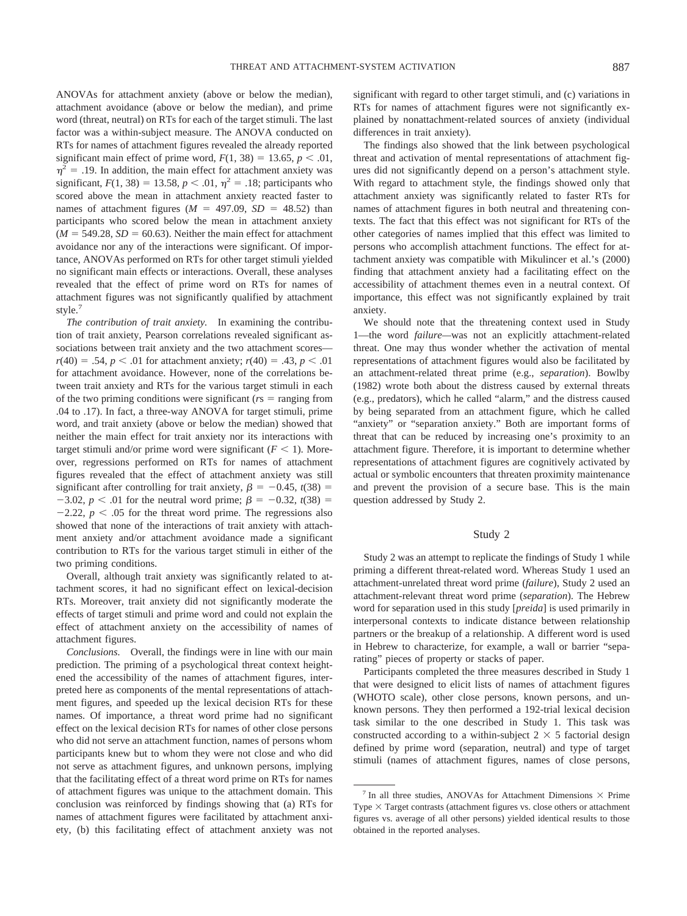ANOVAs for attachment anxiety (above or below the median), attachment avoidance (above or below the median), and prime word (threat, neutral) on RTs for each of the target stimuli. The last factor was a within-subject measure. The ANOVA conducted on RTs for names of attachment figures revealed the already reported significant main effect of prime word,  $F(1, 38) = 13.65$ ,  $p < .01$ ,  $\eta^2$  = .19. In addition, the main effect for attachment anxiety was significant,  $F(1, 38) = 13.58$ ,  $p < .01$ ,  $\eta^2 = .18$ ; participants who scored above the mean in attachment anxiety reacted faster to names of attachment figures  $(M = 497.09, SD = 48.52)$  than participants who scored below the mean in attachment anxiety  $(M = 549.28, SD = 60.63)$ . Neither the main effect for attachment avoidance nor any of the interactions were significant. Of importance, ANOVAs performed on RTs for other target stimuli yielded no significant main effects or interactions. Overall, these analyses revealed that the effect of prime word on RTs for names of attachment figures was not significantly qualified by attachment style.<sup>7</sup>

*The contribution of trait anxiety.* In examining the contribution of trait anxiety, Pearson correlations revealed significant associations between trait anxiety and the two attachment scores  $r(40) = .54, p < .01$  for attachment anxiety;  $r(40) = .43, p < .01$ for attachment avoidance. However, none of the correlations between trait anxiety and RTs for the various target stimuli in each of the two priming conditions were significant  $(rs = ranging from)$ .04 to .17). In fact, a three-way ANOVA for target stimuli, prime word, and trait anxiety (above or below the median) showed that neither the main effect for trait anxiety nor its interactions with target stimuli and/or prime word were significant  $(F < 1)$ . Moreover, regressions performed on RTs for names of attachment figures revealed that the effect of attachment anxiety was still significant after controlling for trait anxiety,  $\beta = -0.45$ ,  $t(38) =$  $-3.02, p < .01$  for the neutral word prime;  $\beta = -0.32, t(38) =$  $-2.22$ ,  $p < .05$  for the threat word prime. The regressions also showed that none of the interactions of trait anxiety with attachment anxiety and/or attachment avoidance made a significant contribution to RTs for the various target stimuli in either of the two priming conditions.

Overall, although trait anxiety was significantly related to attachment scores, it had no significant effect on lexical-decision RTs. Moreover, trait anxiety did not significantly moderate the effects of target stimuli and prime word and could not explain the effect of attachment anxiety on the accessibility of names of attachment figures.

*Conclusions.* Overall, the findings were in line with our main prediction. The priming of a psychological threat context heightened the accessibility of the names of attachment figures, interpreted here as components of the mental representations of attachment figures, and speeded up the lexical decision RTs for these names. Of importance, a threat word prime had no significant effect on the lexical decision RTs for names of other close persons who did not serve an attachment function, names of persons whom participants knew but to whom they were not close and who did not serve as attachment figures, and unknown persons, implying that the facilitating effect of a threat word prime on RTs for names of attachment figures was unique to the attachment domain. This conclusion was reinforced by findings showing that (a) RTs for names of attachment figures were facilitated by attachment anxiety, (b) this facilitating effect of attachment anxiety was not

significant with regard to other target stimuli, and (c) variations in RTs for names of attachment figures were not significantly explained by nonattachment-related sources of anxiety (individual differences in trait anxiety).

The findings also showed that the link between psychological threat and activation of mental representations of attachment figures did not significantly depend on a person's attachment style. With regard to attachment style, the findings showed only that attachment anxiety was significantly related to faster RTs for names of attachment figures in both neutral and threatening contexts. The fact that this effect was not significant for RTs of the other categories of names implied that this effect was limited to persons who accomplish attachment functions. The effect for attachment anxiety was compatible with Mikulincer et al.'s (2000) finding that attachment anxiety had a facilitating effect on the accessibility of attachment themes even in a neutral context. Of importance, this effect was not significantly explained by trait anxiety.

We should note that the threatening context used in Study 1—the word *failure—*was not an explicitly attachment-related threat. One may thus wonder whether the activation of mental representations of attachment figures would also be facilitated by an attachment-related threat prime (e.g., *separation*). Bowlby (1982) wrote both about the distress caused by external threats (e.g., predators), which he called "alarm," and the distress caused by being separated from an attachment figure, which he called "anxiety" or "separation anxiety." Both are important forms of threat that can be reduced by increasing one's proximity to an attachment figure. Therefore, it is important to determine whether representations of attachment figures are cognitively activated by actual or symbolic encounters that threaten proximity maintenance and prevent the provision of a secure base. This is the main question addressed by Study 2.

# Study 2

Study 2 was an attempt to replicate the findings of Study 1 while priming a different threat-related word. Whereas Study 1 used an attachment-unrelated threat word prime (*failure*), Study 2 used an attachment-relevant threat word prime (*separation*). The Hebrew word for separation used in this study [*preida*] is used primarily in interpersonal contexts to indicate distance between relationship partners or the breakup of a relationship. A different word is used in Hebrew to characterize, for example, a wall or barrier "separating" pieces of property or stacks of paper.

Participants completed the three measures described in Study 1 that were designed to elicit lists of names of attachment figures (WHOTO scale), other close persons, known persons, and unknown persons. They then performed a 192-trial lexical decision task similar to the one described in Study 1. This task was constructed according to a within-subject  $2 \times 5$  factorial design defined by prime word (separation, neutral) and type of target stimuli (names of attachment figures, names of close persons,

<sup>&</sup>lt;sup>7</sup> In all three studies, ANOVAs for Attachment Dimensions  $\times$  Prime Type  $\times$  Target contrasts (attachment figures vs. close others or attachment figures vs. average of all other persons) yielded identical results to those obtained in the reported analyses.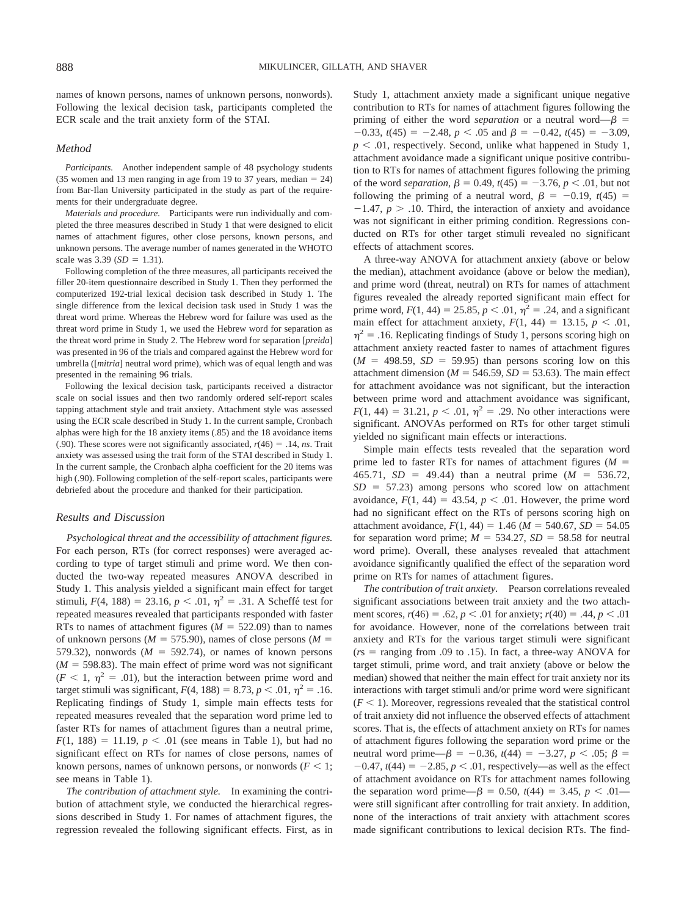names of known persons, names of unknown persons, nonwords). Following the lexical decision task, participants completed the ECR scale and the trait anxiety form of the STAI.

#### *Method*

*Participants.* Another independent sample of 48 psychology students  $(35)$  women and 13 men ranging in age from 19 to 37 years, median = 24) from Bar-Ilan University participated in the study as part of the requirements for their undergraduate degree.

*Materials and procedure.* Participants were run individually and completed the three measures described in Study 1 that were designed to elicit names of attachment figures, other close persons, known persons, and unknown persons. The average number of names generated in the WHOTO scale was  $3.39$  (*SD* = 1.31).

Following completion of the three measures, all participants received the filler 20-item questionnaire described in Study 1. Then they performed the computerized 192-trial lexical decision task described in Study 1. The single difference from the lexical decision task used in Study 1 was the threat word prime. Whereas the Hebrew word for failure was used as the threat word prime in Study 1, we used the Hebrew word for separation as the threat word prime in Study 2. The Hebrew word for separation [*preida*] was presented in 96 of the trials and compared against the Hebrew word for umbrella ([*mitria*] neutral word prime), which was of equal length and was presented in the remaining 96 trials.

Following the lexical decision task, participants received a distractor scale on social issues and then two randomly ordered self-report scales tapping attachment style and trait anxiety. Attachment style was assessed using the ECR scale described in Study 1. In the current sample, Cronbach alphas were high for the 18 anxiety items (.85) and the 18 avoidance items  $(.90)$ . These scores were not significantly associated,  $r(46) = .14$ , *ns*. Trait anxiety was assessed using the trait form of the STAI described in Study 1. In the current sample, the Cronbach alpha coefficient for the 20 items was high (.90). Following completion of the self-report scales, participants were debriefed about the procedure and thanked for their participation.

## *Results and Discussion*

*Psychological threat and the accessibility of attachment figures.* For each person, RTs (for correct responses) were averaged according to type of target stimuli and prime word. We then conducted the two-way repeated measures ANOVA described in Study 1. This analysis yielded a significant main effect for target stimuli,  $F(4, 188) = 23.16, p < .01, \eta^2 = .31$ . A Scheffé test for repeated measures revealed that participants responded with faster RTs to names of attachment figures  $(M = 522.09)$  than to names of unknown persons ( $M = 575.90$ ), names of close persons ( $M =$  $579.32$ ), nonwords ( $M = 592.74$ ), or names of known persons  $(M = 598.83)$ . The main effect of prime word was not significant  $(F < 1, \eta^2 = .01)$ , but the interaction between prime word and target stimuli was significant,  $F(4, 188) = 8.73, p < .01, \eta^2 = .16$ . Replicating findings of Study 1, simple main effects tests for repeated measures revealed that the separation word prime led to faster RTs for names of attachment figures than a neutral prime,  $F(1, 188) = 11.19, p < .01$  (see means in Table 1), but had no significant effect on RTs for names of close persons, names of known persons, names of unknown persons, or nonwords  $(F \leq 1;$ see means in Table 1).

*The contribution of attachment style.* In examining the contribution of attachment style, we conducted the hierarchical regressions described in Study 1. For names of attachment figures, the regression revealed the following significant effects. First, as in Study 1, attachment anxiety made a significant unique negative contribution to RTs for names of attachment figures following the priming of either the word *separation* or a neutral word— $\beta$  =  $-0.33$ ,  $t(45) = -2.48$ ,  $p < .05$  and  $\beta = -0.42$ ,  $t(45) = -3.09$ ,  $p < .01$ , respectively. Second, unlike what happened in Study 1, attachment avoidance made a significant unique positive contribution to RTs for names of attachment figures following the priming of the word *separation*,  $\beta = 0.49$ ,  $t(45) = -3.76$ ,  $p < .01$ , but not following the priming of a neutral word,  $\beta = -0.19$ ,  $t(45) =$  $-1.47$ ,  $p > .10$ . Third, the interaction of anxiety and avoidance was not significant in either priming condition. Regressions conducted on RTs for other target stimuli revealed no significant effects of attachment scores.

A three-way ANOVA for attachment anxiety (above or below the median), attachment avoidance (above or below the median), and prime word (threat, neutral) on RTs for names of attachment figures revealed the already reported significant main effect for prime word,  $F(1, 44) = 25.85$ ,  $p < .01$ ,  $p^2 = .24$ , and a significant main effect for attachment anxiety,  $F(1, 44) = 13.15$ ,  $p < .01$ ,  $\eta^2$  = .16. Replicating findings of Study 1, persons scoring high on attachment anxiety reacted faster to names of attachment figures  $(M = 498.59, SD = 59.95)$  than persons scoring low on this attachment dimension ( $M = 546.59$ ,  $SD = 53.63$ ). The main effect for attachment avoidance was not significant, but the interaction between prime word and attachment avoidance was significant,  $F(1, 44) = 31.21, p < .01, \eta^2 = .29$ . No other interactions were significant. ANOVAs performed on RTs for other target stimuli yielded no significant main effects or interactions.

Simple main effects tests revealed that the separation word prime led to faster RTs for names of attachment figures  $(M =$  $465.71, SD = 49.44$ ) than a neutral prime ( $M = 536.72$ ,  $SD = 57.23$ ) among persons who scored low on attachment avoidance,  $F(1, 44) = 43.54$ ,  $p < .01$ . However, the prime word had no significant effect on the RTs of persons scoring high on attachment avoidance,  $F(1, 44) = 1.46$  ( $M = 540.67$ ,  $SD = 54.05$ ) for separation word prime;  $M = 534.27$ ,  $SD = 58.58$  for neutral word prime). Overall, these analyses revealed that attachment avoidance significantly qualified the effect of the separation word prime on RTs for names of attachment figures.

*The contribution of trait anxiety.* Pearson correlations revealed significant associations between trait anxiety and the two attachment scores,  $r(46) = .62$ ,  $p < .01$  for anxiety;  $r(40) = .44$ ,  $p < .01$ for avoidance. However, none of the correlations between trait anxiety and RTs for the various target stimuli were significant  $(rs = \text{ranging from } .09 \text{ to } .15)$ . In fact, a three-way ANOVA for target stimuli, prime word, and trait anxiety (above or below the median) showed that neither the main effect for trait anxiety nor its interactions with target stimuli and/or prime word were significant  $(F < 1)$ . Moreover, regressions revealed that the statistical control of trait anxiety did not influence the observed effects of attachment scores. That is, the effects of attachment anxiety on RTs for names of attachment figures following the separation word prime or the neutral word prime— $\beta = -0.36$ ,  $t(44) = -3.27$ ,  $p < .05$ ;  $\beta =$  $-0.47$ ,  $t(44) = -2.85$ ,  $p < .01$ , respectively—as well as the effect of attachment avoidance on RTs for attachment names following the separation word prime— $\beta = 0.50$ ,  $t(44) = 3.45$ ,  $p < .01$  were still significant after controlling for trait anxiety. In addition, none of the interactions of trait anxiety with attachment scores made significant contributions to lexical decision RTs. The find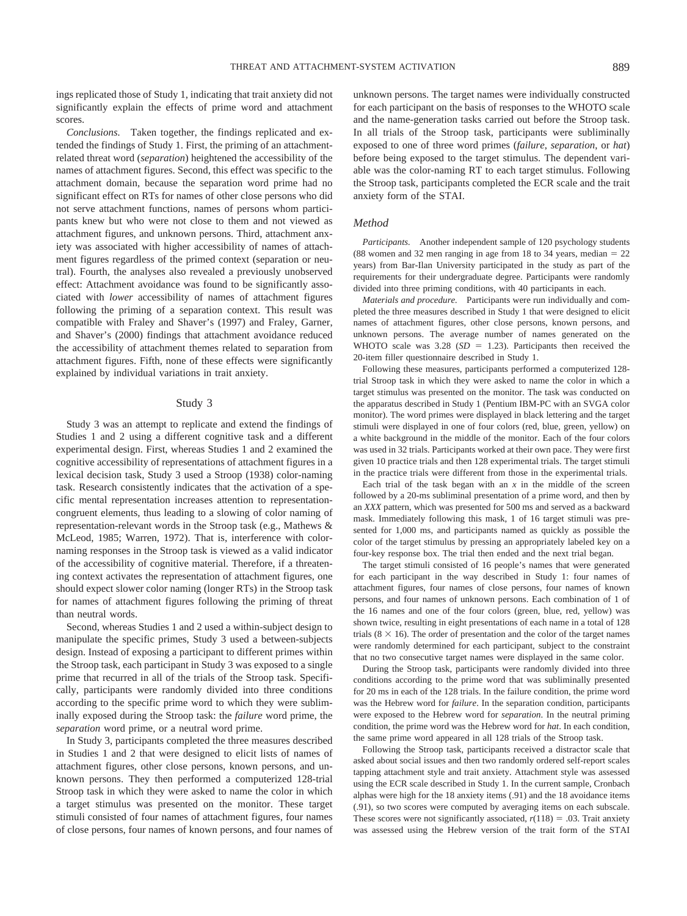ings replicated those of Study 1, indicating that trait anxiety did not significantly explain the effects of prime word and attachment scores.

*Conclusions.* Taken together, the findings replicated and extended the findings of Study 1. First, the priming of an attachmentrelated threat word (*separation*) heightened the accessibility of the names of attachment figures. Second, this effect was specific to the attachment domain, because the separation word prime had no significant effect on RTs for names of other close persons who did not serve attachment functions, names of persons whom participants knew but who were not close to them and not viewed as attachment figures, and unknown persons. Third, attachment anxiety was associated with higher accessibility of names of attachment figures regardless of the primed context (separation or neutral). Fourth, the analyses also revealed a previously unobserved effect: Attachment avoidance was found to be significantly associated with *lower* accessibility of names of attachment figures following the priming of a separation context. This result was compatible with Fraley and Shaver's (1997) and Fraley, Garner, and Shaver's (2000) findings that attachment avoidance reduced the accessibility of attachment themes related to separation from attachment figures. Fifth, none of these effects were significantly explained by individual variations in trait anxiety.

# Study 3

Study 3 was an attempt to replicate and extend the findings of Studies 1 and 2 using a different cognitive task and a different experimental design. First, whereas Studies 1 and 2 examined the cognitive accessibility of representations of attachment figures in a lexical decision task, Study 3 used a Stroop (1938) color-naming task. Research consistently indicates that the activation of a specific mental representation increases attention to representationcongruent elements, thus leading to a slowing of color naming of representation-relevant words in the Stroop task (e.g., Mathews & McLeod, 1985; Warren, 1972). That is, interference with colornaming responses in the Stroop task is viewed as a valid indicator of the accessibility of cognitive material. Therefore, if a threatening context activates the representation of attachment figures, one should expect slower color naming (longer RTs) in the Stroop task for names of attachment figures following the priming of threat than neutral words.

Second, whereas Studies 1 and 2 used a within-subject design to manipulate the specific primes, Study 3 used a between-subjects design. Instead of exposing a participant to different primes within the Stroop task, each participant in Study 3 was exposed to a single prime that recurred in all of the trials of the Stroop task. Specifically, participants were randomly divided into three conditions according to the specific prime word to which they were subliminally exposed during the Stroop task: the *failure* word prime, the *separation* word prime, or a neutral word prime.

In Study 3, participants completed the three measures described in Studies 1 and 2 that were designed to elicit lists of names of attachment figures, other close persons, known persons, and unknown persons. They then performed a computerized 128-trial Stroop task in which they were asked to name the color in which a target stimulus was presented on the monitor. These target stimuli consisted of four names of attachment figures, four names of close persons, four names of known persons, and four names of unknown persons. The target names were individually constructed for each participant on the basis of responses to the WHOTO scale and the name-generation tasks carried out before the Stroop task. In all trials of the Stroop task, participants were subliminally exposed to one of three word primes (*failure*, *separation*, or *hat*) before being exposed to the target stimulus. The dependent variable was the color-naming RT to each target stimulus. Following the Stroop task, participants completed the ECR scale and the trait anxiety form of the STAI.

## *Method*

*Participants.* Another independent sample of 120 psychology students  $(88$  women and 32 men ranging in age from 18 to 34 years, median  $= 22$ years) from Bar-Ilan University participated in the study as part of the requirements for their undergraduate degree. Participants were randomly divided into three priming conditions, with 40 participants in each.

*Materials and procedure.* Participants were run individually and completed the three measures described in Study 1 that were designed to elicit names of attachment figures, other close persons, known persons, and unknown persons. The average number of names generated on the WHOTO scale was  $3.28$  ( $SD = 1.23$ ). Participants then received the 20-item filler questionnaire described in Study 1.

Following these measures, participants performed a computerized 128 trial Stroop task in which they were asked to name the color in which a target stimulus was presented on the monitor. The task was conducted on the apparatus described in Study 1 (Pentium IBM-PC with an SVGA color monitor). The word primes were displayed in black lettering and the target stimuli were displayed in one of four colors (red, blue, green, yellow) on a white background in the middle of the monitor. Each of the four colors was used in 32 trials. Participants worked at their own pace. They were first given 10 practice trials and then 128 experimental trials. The target stimuli in the practice trials were different from those in the experimental trials.

Each trial of the task began with an  $x$  in the middle of the screen followed by a 20-ms subliminal presentation of a prime word, and then by an *XXX* pattern, which was presented for 500 ms and served as a backward mask. Immediately following this mask, 1 of 16 target stimuli was presented for 1,000 ms, and participants named as quickly as possible the color of the target stimulus by pressing an appropriately labeled key on a four-key response box. The trial then ended and the next trial began.

The target stimuli consisted of 16 people's names that were generated for each participant in the way described in Study 1: four names of attachment figures, four names of close persons, four names of known persons, and four names of unknown persons. Each combination of 1 of the 16 names and one of the four colors (green, blue, red, yellow) was shown twice, resulting in eight presentations of each name in a total of 128 trials ( $8 \times 16$ ). The order of presentation and the color of the target names were randomly determined for each participant, subject to the constraint that no two consecutive target names were displayed in the same color.

During the Stroop task, participants were randomly divided into three conditions according to the prime word that was subliminally presented for 20 ms in each of the 128 trials. In the failure condition, the prime word was the Hebrew word for *failure*. In the separation condition, participants were exposed to the Hebrew word for *separation*. In the neutral priming condition, the prime word was the Hebrew word for *hat*. In each condition, the same prime word appeared in all 128 trials of the Stroop task.

Following the Stroop task, participants received a distractor scale that asked about social issues and then two randomly ordered self-report scales tapping attachment style and trait anxiety. Attachment style was assessed using the ECR scale described in Study 1. In the current sample, Cronbach alphas were high for the 18 anxiety items (.91) and the 18 avoidance items (.91), so two scores were computed by averaging items on each subscale. These scores were not significantly associated,  $r(118) = .03$ . Trait anxiety was assessed using the Hebrew version of the trait form of the STAI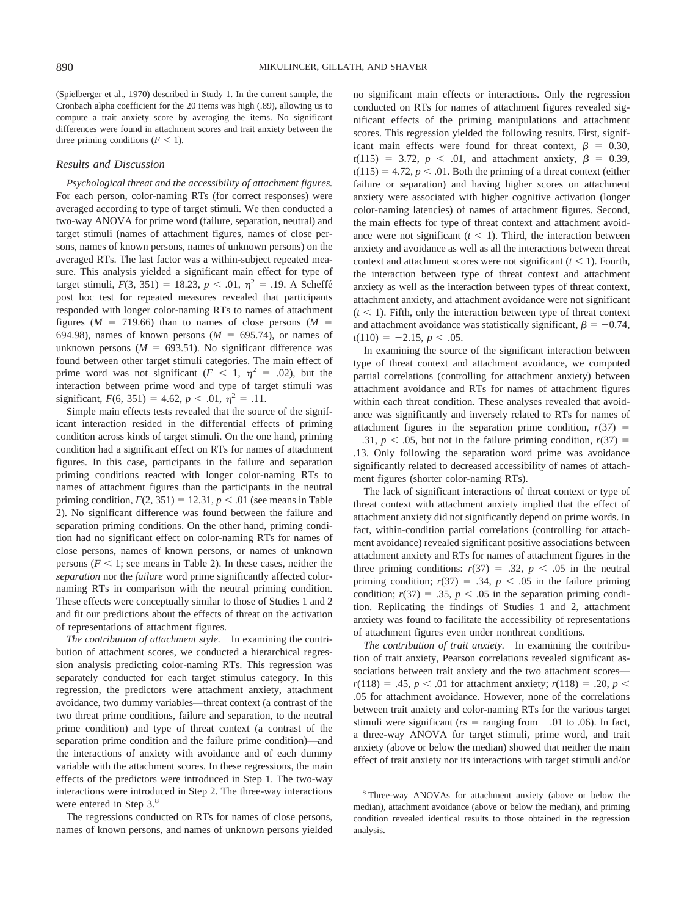(Spielberger et al., 1970) described in Study 1. In the current sample, the Cronbach alpha coefficient for the 20 items was high (.89), allowing us to compute a trait anxiety score by averaging the items. No significant differences were found in attachment scores and trait anxiety between the three priming conditions  $(F < 1)$ .

## *Results and Discussion*

*Psychological threat and the accessibility of attachment figures.* For each person, color-naming RTs (for correct responses) were averaged according to type of target stimuli. We then conducted a two-way ANOVA for prime word (failure, separation, neutral) and target stimuli (names of attachment figures, names of close persons, names of known persons, names of unknown persons) on the averaged RTs. The last factor was a within-subject repeated measure. This analysis yielded a significant main effect for type of target stimuli,  $F(3, 351) = 18.23, p < .01, \eta^2 = .19$ . A Scheffe post hoc test for repeated measures revealed that participants responded with longer color-naming RTs to names of attachment figures ( $M = 719.66$ ) than to names of close persons ( $M =$ 694.98), names of known persons  $(M = 695.74)$ , or names of unknown persons  $(M = 693.51)$ . No significant difference was found between other target stimuli categories. The main effect of prime word was not significant ( $F < 1$ ,  $\eta^2 = .02$ ), but the interaction between prime word and type of target stimuli was significant,  $F(6, 351) = 4.62, p < .01, \eta^2 = .11$ .

Simple main effects tests revealed that the source of the significant interaction resided in the differential effects of priming condition across kinds of target stimuli. On the one hand, priming condition had a significant effect on RTs for names of attachment figures. In this case, participants in the failure and separation priming conditions reacted with longer color-naming RTs to names of attachment figures than the participants in the neutral priming condition,  $F(2, 351) = 12.31$ ,  $p < .01$  (see means in Table 2). No significant difference was found between the failure and separation priming conditions. On the other hand, priming condition had no significant effect on color-naming RTs for names of close persons, names of known persons, or names of unknown persons ( $F < 1$ ; see means in Table 2). In these cases, neither the *separation* nor the *failure* word prime significantly affected colornaming RTs in comparison with the neutral priming condition. These effects were conceptually similar to those of Studies 1 and 2 and fit our predictions about the effects of threat on the activation of representations of attachment figures.

*The contribution of attachment style.* In examining the contribution of attachment scores, we conducted a hierarchical regression analysis predicting color-naming RTs. This regression was separately conducted for each target stimulus category. In this regression, the predictors were attachment anxiety, attachment avoidance, two dummy variables—threat context (a contrast of the two threat prime conditions, failure and separation, to the neutral prime condition) and type of threat context (a contrast of the separation prime condition and the failure prime condition)—and the interactions of anxiety with avoidance and of each dummy variable with the attachment scores. In these regressions, the main effects of the predictors were introduced in Step 1. The two-way interactions were introduced in Step 2. The three-way interactions were entered in Step 3.<sup>8</sup>

The regressions conducted on RTs for names of close persons, names of known persons, and names of unknown persons yielded no significant main effects or interactions. Only the regression conducted on RTs for names of attachment figures revealed significant effects of the priming manipulations and attachment scores. This regression yielded the following results. First, significant main effects were found for threat context,  $\beta = 0.30$ ,  $t(115) = 3.72, p < .01$ , and attachment anxiety,  $\beta = 0.39$ ,  $t(115) = 4.72$ ,  $p < .01$ . Both the priming of a threat context (either failure or separation) and having higher scores on attachment anxiety were associated with higher cognitive activation (longer color-naming latencies) of names of attachment figures. Second, the main effects for type of threat context and attachment avoidance were not significant  $(t < 1)$ . Third, the interaction between anxiety and avoidance as well as all the interactions between threat context and attachment scores were not significant  $(t < 1)$ . Fourth, the interaction between type of threat context and attachment anxiety as well as the interaction between types of threat context, attachment anxiety, and attachment avoidance were not significant  $(t < 1)$ . Fifth, only the interaction between type of threat context and attachment avoidance was statistically significant,  $\beta = -0.74$ ,  $t(110) = -2.15, p < .05.$ 

In examining the source of the significant interaction between type of threat context and attachment avoidance, we computed partial correlations (controlling for attachment anxiety) between attachment avoidance and RTs for names of attachment figures within each threat condition. These analyses revealed that avoidance was significantly and inversely related to RTs for names of attachment figures in the separation prime condition,  $r(37)$  =  $-31$ ,  $p < .05$ , but not in the failure priming condition,  $r(37) =$ .13. Only following the separation word prime was avoidance significantly related to decreased accessibility of names of attachment figures (shorter color-naming RTs).

The lack of significant interactions of threat context or type of threat context with attachment anxiety implied that the effect of attachment anxiety did not significantly depend on prime words. In fact, within-condition partial correlations (controlling for attachment avoidance) revealed significant positive associations between attachment anxiety and RTs for names of attachment figures in the three priming conditions:  $r(37) = .32$ ,  $p < .05$  in the neutral priming condition;  $r(37) = .34$ ,  $p < .05$  in the failure priming condition;  $r(37) = .35$ ,  $p < .05$  in the separation priming condition. Replicating the findings of Studies 1 and 2, attachment anxiety was found to facilitate the accessibility of representations of attachment figures even under nonthreat conditions.

*The contribution of trait anxiety.* In examining the contribution of trait anxiety, Pearson correlations revealed significant associations between trait anxiety and the two attachment scores  $r(118) = .45, p < .01$  for attachment anxiety;  $r(118) = .20, p <$ .05 for attachment avoidance. However, none of the correlations between trait anxiety and color-naming RTs for the various target stimuli were significant ( $rs =$  ranging from  $-.01$  to .06). In fact, a three-way ANOVA for target stimuli, prime word, and trait anxiety (above or below the median) showed that neither the main effect of trait anxiety nor its interactions with target stimuli and/or

<sup>8</sup> Three-way ANOVAs for attachment anxiety (above or below the median), attachment avoidance (above or below the median), and priming condition revealed identical results to those obtained in the regression analysis.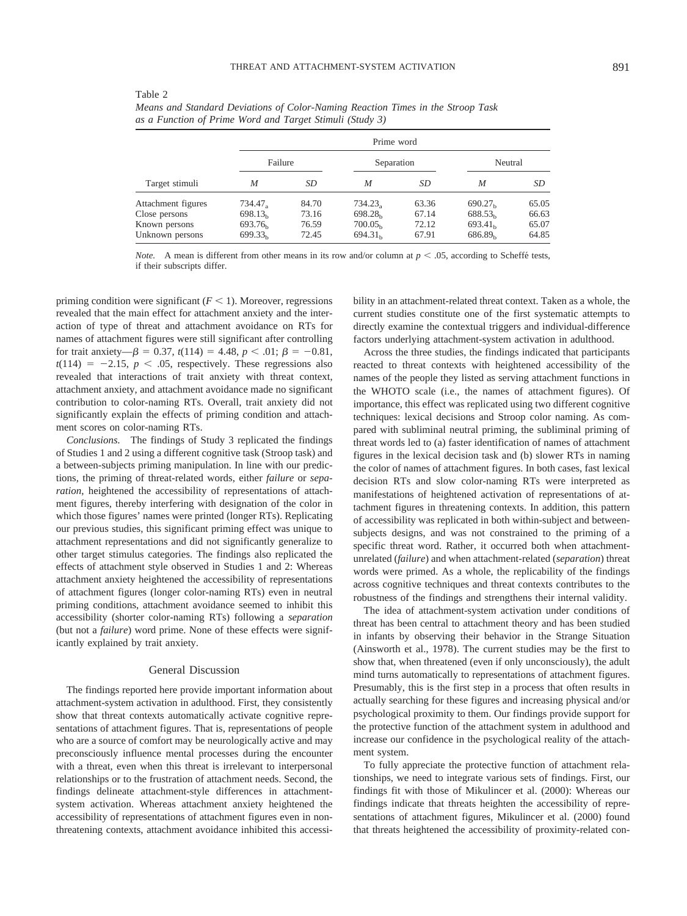| Target stimuli     | Prime word          |       |                     |       |                     |       |  |  |
|--------------------|---------------------|-------|---------------------|-------|---------------------|-------|--|--|
|                    | Failure             |       | Separation          |       | Neutral             |       |  |  |
|                    | M                   | SD    | M                   | SD    | M                   | SD    |  |  |
| Attachment figures | 734.47.             | 84.70 | 734.23.             | 63.36 | 690.27 <sub>b</sub> | 65.05 |  |  |
| Close persons      | 698.13 <sub>b</sub> | 73.16 | 698.28 <sub>b</sub> | 67.14 | 688.53 <sub>b</sub> | 66.63 |  |  |
| Known persons      | 693.76 <sub>b</sub> | 76.59 | 700.05 <sub>b</sub> | 72.12 | 693.41 <sub>b</sub> | 65.07 |  |  |
| Unknown persons    | 699.33 <sub>b</sub> | 72.45 | 694.31 <sub>b</sub> | 67.91 | 686.89 <sub>b</sub> | 64.85 |  |  |

*Means and Standard Deviations of Color-Naming Reaction Times in the Stroop Task as a Function of Prime Word and Target Stimuli (Study 3)*

*Note.* A mean is different from other means in its row and/or column at  $p < .05$ , according to Scheffé tests, if their subscripts differ.

priming condition were significant  $(F < 1)$ . Moreover, regressions revealed that the main effect for attachment anxiety and the interaction of type of threat and attachment avoidance on RTs for names of attachment figures were still significant after controlling for trait anxiety— $\beta = 0.37$ ,  $t(114) = 4.48$ ,  $p < .01$ ;  $\beta = -0.81$ ,  $t(114) = -2.15$ ,  $p < .05$ , respectively. These regressions also revealed that interactions of trait anxiety with threat context, attachment anxiety, and attachment avoidance made no significant contribution to color-naming RTs. Overall, trait anxiety did not significantly explain the effects of priming condition and attachment scores on color-naming RTs.

Table 2

*Conclusions.* The findings of Study 3 replicated the findings of Studies 1 and 2 using a different cognitive task (Stroop task) and a between-subjects priming manipulation. In line with our predictions, the priming of threat-related words, either *failure* or *separation*, heightened the accessibility of representations of attachment figures, thereby interfering with designation of the color in which those figures' names were printed (longer RTs). Replicating our previous studies, this significant priming effect was unique to attachment representations and did not significantly generalize to other target stimulus categories. The findings also replicated the effects of attachment style observed in Studies 1 and 2: Whereas attachment anxiety heightened the accessibility of representations of attachment figures (longer color-naming RTs) even in neutral priming conditions, attachment avoidance seemed to inhibit this accessibility (shorter color-naming RTs) following a *separation* (but not a *failure*) word prime. None of these effects were significantly explained by trait anxiety.

## General Discussion

The findings reported here provide important information about attachment-system activation in adulthood. First, they consistently show that threat contexts automatically activate cognitive representations of attachment figures. That is, representations of people who are a source of comfort may be neurologically active and may preconsciously influence mental processes during the encounter with a threat, even when this threat is irrelevant to interpersonal relationships or to the frustration of attachment needs. Second, the findings delineate attachment-style differences in attachmentsystem activation. Whereas attachment anxiety heightened the accessibility of representations of attachment figures even in nonthreatening contexts, attachment avoidance inhibited this accessibility in an attachment-related threat context. Taken as a whole, the current studies constitute one of the first systematic attempts to directly examine the contextual triggers and individual-difference factors underlying attachment-system activation in adulthood.

Across the three studies, the findings indicated that participants reacted to threat contexts with heightened accessibility of the names of the people they listed as serving attachment functions in the WHOTO scale (i.e., the names of attachment figures). Of importance, this effect was replicated using two different cognitive techniques: lexical decisions and Stroop color naming. As compared with subliminal neutral priming, the subliminal priming of threat words led to (a) faster identification of names of attachment figures in the lexical decision task and (b) slower RTs in naming the color of names of attachment figures. In both cases, fast lexical decision RTs and slow color-naming RTs were interpreted as manifestations of heightened activation of representations of attachment figures in threatening contexts. In addition, this pattern of accessibility was replicated in both within-subject and betweensubjects designs, and was not constrained to the priming of a specific threat word. Rather, it occurred both when attachmentunrelated (*failure*) and when attachment-related (*separation*) threat words were primed. As a whole, the replicability of the findings across cognitive techniques and threat contexts contributes to the robustness of the findings and strengthens their internal validity.

The idea of attachment-system activation under conditions of threat has been central to attachment theory and has been studied in infants by observing their behavior in the Strange Situation (Ainsworth et al., 1978). The current studies may be the first to show that, when threatened (even if only unconsciously), the adult mind turns automatically to representations of attachment figures. Presumably, this is the first step in a process that often results in actually searching for these figures and increasing physical and/or psychological proximity to them. Our findings provide support for the protective function of the attachment system in adulthood and increase our confidence in the psychological reality of the attachment system.

To fully appreciate the protective function of attachment relationships, we need to integrate various sets of findings. First, our findings fit with those of Mikulincer et al. (2000): Whereas our findings indicate that threats heighten the accessibility of representations of attachment figures, Mikulincer et al. (2000) found that threats heightened the accessibility of proximity-related con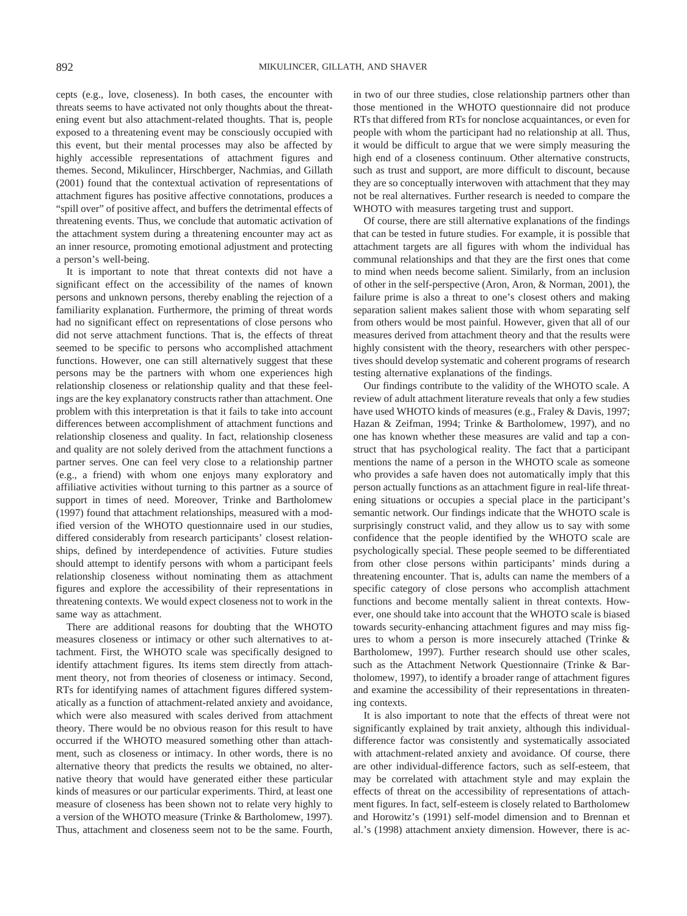cepts (e.g., love, closeness). In both cases, the encounter with threats seems to have activated not only thoughts about the threatening event but also attachment-related thoughts. That is, people exposed to a threatening event may be consciously occupied with this event, but their mental processes may also be affected by highly accessible representations of attachment figures and themes. Second, Mikulincer, Hirschberger, Nachmias, and Gillath (2001) found that the contextual activation of representations of attachment figures has positive affective connotations, produces a "spill over" of positive affect, and buffers the detrimental effects of threatening events. Thus, we conclude that automatic activation of the attachment system during a threatening encounter may act as an inner resource, promoting emotional adjustment and protecting a person's well-being.

It is important to note that threat contexts did not have a significant effect on the accessibility of the names of known persons and unknown persons, thereby enabling the rejection of a familiarity explanation. Furthermore, the priming of threat words had no significant effect on representations of close persons who did not serve attachment functions. That is, the effects of threat seemed to be specific to persons who accomplished attachment functions. However, one can still alternatively suggest that these persons may be the partners with whom one experiences high relationship closeness or relationship quality and that these feelings are the key explanatory constructs rather than attachment. One problem with this interpretation is that it fails to take into account differences between accomplishment of attachment functions and relationship closeness and quality. In fact, relationship closeness and quality are not solely derived from the attachment functions a partner serves. One can feel very close to a relationship partner (e.g., a friend) with whom one enjoys many exploratory and affiliative activities without turning to this partner as a source of support in times of need. Moreover, Trinke and Bartholomew (1997) found that attachment relationships, measured with a modified version of the WHOTO questionnaire used in our studies, differed considerably from research participants' closest relationships, defined by interdependence of activities. Future studies should attempt to identify persons with whom a participant feels relationship closeness without nominating them as attachment figures and explore the accessibility of their representations in threatening contexts. We would expect closeness not to work in the same way as attachment.

There are additional reasons for doubting that the WHOTO measures closeness or intimacy or other such alternatives to attachment. First, the WHOTO scale was specifically designed to identify attachment figures. Its items stem directly from attachment theory, not from theories of closeness or intimacy. Second, RTs for identifying names of attachment figures differed systematically as a function of attachment-related anxiety and avoidance, which were also measured with scales derived from attachment theory. There would be no obvious reason for this result to have occurred if the WHOTO measured something other than attachment, such as closeness or intimacy. In other words, there is no alternative theory that predicts the results we obtained, no alternative theory that would have generated either these particular kinds of measures or our particular experiments. Third, at least one measure of closeness has been shown not to relate very highly to a version of the WHOTO measure (Trinke & Bartholomew, 1997). Thus, attachment and closeness seem not to be the same. Fourth,

in two of our three studies, close relationship partners other than those mentioned in the WHOTO questionnaire did not produce RTs that differed from RTs for nonclose acquaintances, or even for people with whom the participant had no relationship at all. Thus, it would be difficult to argue that we were simply measuring the high end of a closeness continuum. Other alternative constructs, such as trust and support, are more difficult to discount, because they are so conceptually interwoven with attachment that they may not be real alternatives. Further research is needed to compare the WHOTO with measures targeting trust and support.

Of course, there are still alternative explanations of the findings that can be tested in future studies. For example, it is possible that attachment targets are all figures with whom the individual has communal relationships and that they are the first ones that come to mind when needs become salient. Similarly, from an inclusion of other in the self-perspective (Aron, Aron, & Norman, 2001), the failure prime is also a threat to one's closest others and making separation salient makes salient those with whom separating self from others would be most painful. However, given that all of our measures derived from attachment theory and that the results were highly consistent with the theory, researchers with other perspectives should develop systematic and coherent programs of research testing alternative explanations of the findings.

Our findings contribute to the validity of the WHOTO scale. A review of adult attachment literature reveals that only a few studies have used WHOTO kinds of measures (e.g., Fraley & Davis, 1997; Hazan & Zeifman, 1994; Trinke & Bartholomew, 1997), and no one has known whether these measures are valid and tap a construct that has psychological reality. The fact that a participant mentions the name of a person in the WHOTO scale as someone who provides a safe haven does not automatically imply that this person actually functions as an attachment figure in real-life threatening situations or occupies a special place in the participant's semantic network. Our findings indicate that the WHOTO scale is surprisingly construct valid, and they allow us to say with some confidence that the people identified by the WHOTO scale are psychologically special. These people seemed to be differentiated from other close persons within participants' minds during a threatening encounter. That is, adults can name the members of a specific category of close persons who accomplish attachment functions and become mentally salient in threat contexts. However, one should take into account that the WHOTO scale is biased towards security-enhancing attachment figures and may miss figures to whom a person is more insecurely attached (Trinke & Bartholomew, 1997). Further research should use other scales, such as the Attachment Network Questionnaire (Trinke & Bartholomew, 1997), to identify a broader range of attachment figures and examine the accessibility of their representations in threatening contexts.

It is also important to note that the effects of threat were not significantly explained by trait anxiety, although this individualdifference factor was consistently and systematically associated with attachment-related anxiety and avoidance. Of course, there are other individual-difference factors, such as self-esteem, that may be correlated with attachment style and may explain the effects of threat on the accessibility of representations of attachment figures. In fact, self-esteem is closely related to Bartholomew and Horowitz's (1991) self-model dimension and to Brennan et al.'s (1998) attachment anxiety dimension. However, there is ac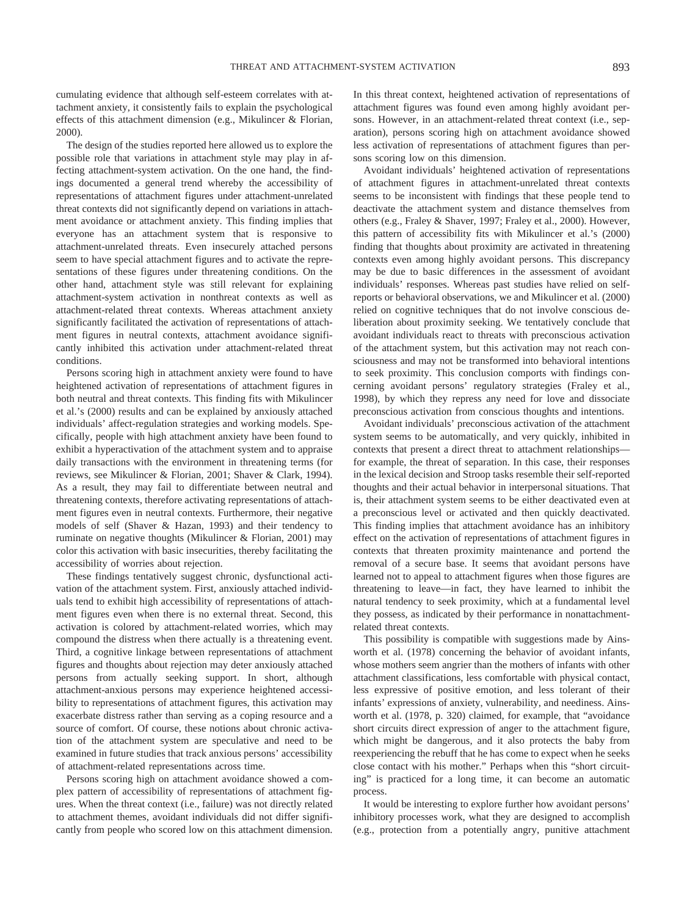cumulating evidence that although self-esteem correlates with attachment anxiety, it consistently fails to explain the psychological effects of this attachment dimension (e.g., Mikulincer & Florian, 2000).

The design of the studies reported here allowed us to explore the possible role that variations in attachment style may play in affecting attachment-system activation. On the one hand, the findings documented a general trend whereby the accessibility of representations of attachment figures under attachment-unrelated threat contexts did not significantly depend on variations in attachment avoidance or attachment anxiety. This finding implies that everyone has an attachment system that is responsive to attachment-unrelated threats. Even insecurely attached persons seem to have special attachment figures and to activate the representations of these figures under threatening conditions. On the other hand, attachment style was still relevant for explaining attachment-system activation in nonthreat contexts as well as attachment-related threat contexts. Whereas attachment anxiety significantly facilitated the activation of representations of attachment figures in neutral contexts, attachment avoidance significantly inhibited this activation under attachment-related threat conditions.

Persons scoring high in attachment anxiety were found to have heightened activation of representations of attachment figures in both neutral and threat contexts. This finding fits with Mikulincer et al.'s (2000) results and can be explained by anxiously attached individuals' affect-regulation strategies and working models. Specifically, people with high attachment anxiety have been found to exhibit a hyperactivation of the attachment system and to appraise daily transactions with the environment in threatening terms (for reviews, see Mikulincer & Florian, 2001; Shaver & Clark, 1994). As a result, they may fail to differentiate between neutral and threatening contexts, therefore activating representations of attachment figures even in neutral contexts. Furthermore, their negative models of self (Shaver & Hazan, 1993) and their tendency to ruminate on negative thoughts (Mikulincer & Florian, 2001) may color this activation with basic insecurities, thereby facilitating the accessibility of worries about rejection.

These findings tentatively suggest chronic, dysfunctional activation of the attachment system. First, anxiously attached individuals tend to exhibit high accessibility of representations of attachment figures even when there is no external threat. Second, this activation is colored by attachment-related worries, which may compound the distress when there actually is a threatening event. Third, a cognitive linkage between representations of attachment figures and thoughts about rejection may deter anxiously attached persons from actually seeking support. In short, although attachment-anxious persons may experience heightened accessibility to representations of attachment figures, this activation may exacerbate distress rather than serving as a coping resource and a source of comfort. Of course, these notions about chronic activation of the attachment system are speculative and need to be examined in future studies that track anxious persons' accessibility of attachment-related representations across time.

Persons scoring high on attachment avoidance showed a complex pattern of accessibility of representations of attachment figures. When the threat context (i.e., failure) was not directly related to attachment themes, avoidant individuals did not differ significantly from people who scored low on this attachment dimension. In this threat context, heightened activation of representations of attachment figures was found even among highly avoidant persons. However, in an attachment-related threat context (i.e., separation), persons scoring high on attachment avoidance showed less activation of representations of attachment figures than persons scoring low on this dimension.

Avoidant individuals' heightened activation of representations of attachment figures in attachment-unrelated threat contexts seems to be inconsistent with findings that these people tend to deactivate the attachment system and distance themselves from others (e.g., Fraley & Shaver, 1997; Fraley et al., 2000). However, this pattern of accessibility fits with Mikulincer et al.'s (2000) finding that thoughts about proximity are activated in threatening contexts even among highly avoidant persons. This discrepancy may be due to basic differences in the assessment of avoidant individuals' responses. Whereas past studies have relied on selfreports or behavioral observations, we and Mikulincer et al. (2000) relied on cognitive techniques that do not involve conscious deliberation about proximity seeking. We tentatively conclude that avoidant individuals react to threats with preconscious activation of the attachment system, but this activation may not reach consciousness and may not be transformed into behavioral intentions to seek proximity. This conclusion comports with findings concerning avoidant persons' regulatory strategies (Fraley et al., 1998), by which they repress any need for love and dissociate preconscious activation from conscious thoughts and intentions.

Avoidant individuals' preconscious activation of the attachment system seems to be automatically, and very quickly, inhibited in contexts that present a direct threat to attachment relationships for example, the threat of separation. In this case, their responses in the lexical decision and Stroop tasks resemble their self-reported thoughts and their actual behavior in interpersonal situations. That is, their attachment system seems to be either deactivated even at a preconscious level or activated and then quickly deactivated. This finding implies that attachment avoidance has an inhibitory effect on the activation of representations of attachment figures in contexts that threaten proximity maintenance and portend the removal of a secure base. It seems that avoidant persons have learned not to appeal to attachment figures when those figures are threatening to leave—in fact, they have learned to inhibit the natural tendency to seek proximity, which at a fundamental level they possess, as indicated by their performance in nonattachmentrelated threat contexts.

This possibility is compatible with suggestions made by Ainsworth et al. (1978) concerning the behavior of avoidant infants, whose mothers seem angrier than the mothers of infants with other attachment classifications, less comfortable with physical contact, less expressive of positive emotion, and less tolerant of their infants' expressions of anxiety, vulnerability, and neediness. Ainsworth et al. (1978, p. 320) claimed, for example, that "avoidance short circuits direct expression of anger to the attachment figure, which might be dangerous, and it also protects the baby from reexperiencing the rebuff that he has come to expect when he seeks close contact with his mother." Perhaps when this "short circuiting" is practiced for a long time, it can become an automatic process.

It would be interesting to explore further how avoidant persons' inhibitory processes work, what they are designed to accomplish (e.g., protection from a potentially angry, punitive attachment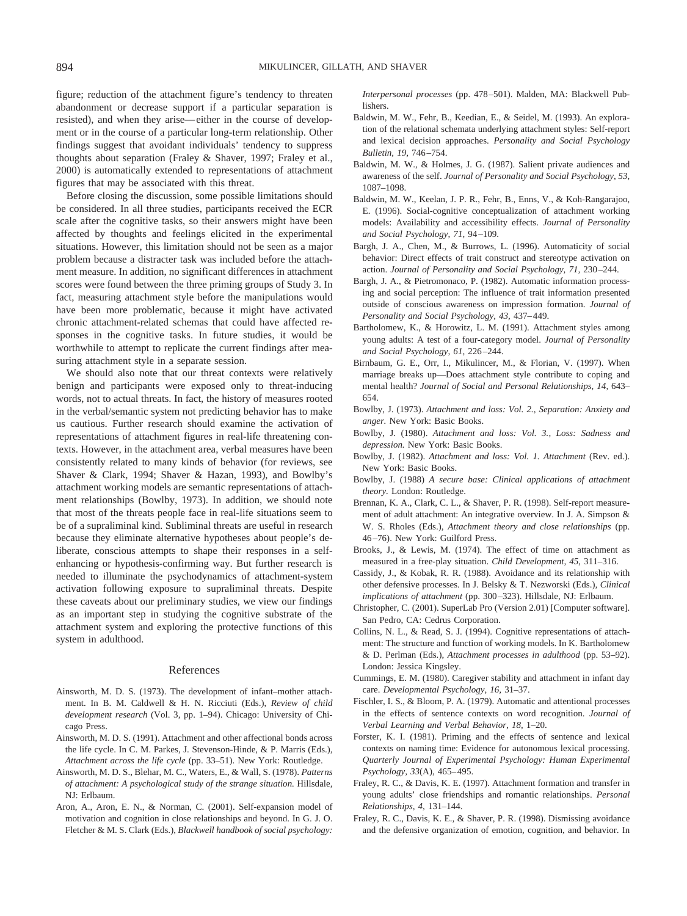figure; reduction of the attachment figure's tendency to threaten abandonment or decrease support if a particular separation is resisted), and when they arise—either in the course of development or in the course of a particular long-term relationship. Other findings suggest that avoidant individuals' tendency to suppress thoughts about separation (Fraley & Shaver, 1997; Fraley et al., 2000) is automatically extended to representations of attachment figures that may be associated with this threat.

Before closing the discussion, some possible limitations should be considered. In all three studies, participants received the ECR scale after the cognitive tasks, so their answers might have been affected by thoughts and feelings elicited in the experimental situations. However, this limitation should not be seen as a major problem because a distracter task was included before the attachment measure. In addition, no significant differences in attachment scores were found between the three priming groups of Study 3. In fact, measuring attachment style before the manipulations would have been more problematic, because it might have activated chronic attachment-related schemas that could have affected responses in the cognitive tasks. In future studies, it would be worthwhile to attempt to replicate the current findings after measuring attachment style in a separate session.

We should also note that our threat contexts were relatively benign and participants were exposed only to threat-inducing words, not to actual threats. In fact, the history of measures rooted in the verbal/semantic system not predicting behavior has to make us cautious. Further research should examine the activation of representations of attachment figures in real-life threatening contexts. However, in the attachment area, verbal measures have been consistently related to many kinds of behavior (for reviews, see Shaver & Clark, 1994; Shaver & Hazan, 1993), and Bowlby's attachment working models are semantic representations of attachment relationships (Bowlby, 1973). In addition, we should note that most of the threats people face in real-life situations seem to be of a supraliminal kind. Subliminal threats are useful in research because they eliminate alternative hypotheses about people's deliberate, conscious attempts to shape their responses in a selfenhancing or hypothesis-confirming way. But further research is needed to illuminate the psychodynamics of attachment-system activation following exposure to supraliminal threats. Despite these caveats about our preliminary studies, we view our findings as an important step in studying the cognitive substrate of the attachment system and exploring the protective functions of this system in adulthood.

#### References

- Ainsworth, M. D. S. (1973). The development of infant–mother attachment. In B. M. Caldwell & H. N. Ricciuti (Eds.), *Review of child development research* (Vol. 3, pp. 1–94). Chicago: University of Chicago Press.
- Ainsworth, M. D. S. (1991). Attachment and other affectional bonds across the life cycle. In C. M. Parkes, J. Stevenson-Hinde, & P. Marris (Eds.), *Attachment across the life cycle* (pp. 33–51). New York: Routledge.
- Ainsworth, M. D. S., Blehar, M. C., Waters, E., & Wall, S. (1978). *Patterns of attachment: A psychological study of the strange situation.* Hillsdale, NJ: Erlbaum.
- Aron, A., Aron, E. N., & Norman, C. (2001). Self-expansion model of motivation and cognition in close relationships and beyond. In G. J. O. Fletcher & M. S. Clark (Eds.), *Blackwell handbook of social psychology:*

*Interpersonal processes* (pp. 478–501). Malden, MA: Blackwell Publishers.

- Baldwin, M. W., Fehr, B., Keedian, E., & Seidel, M. (1993). An exploration of the relational schemata underlying attachment styles: Self-report and lexical decision approaches. *Personality and Social Psychology Bulletin, 19,* 746–754.
- Baldwin, M. W., & Holmes, J. G. (1987). Salient private audiences and awareness of the self. *Journal of Personality and Social Psychology, 53,* 1087–1098.
- Baldwin, M. W., Keelan, J. P. R., Fehr, B., Enns, V., & Koh-Rangarajoo, E. (1996). Social-cognitive conceptualization of attachment working models: Availability and accessibility effects. *Journal of Personality and Social Psychology, 71,* 94–109.
- Bargh, J. A., Chen, M., & Burrows, L. (1996). Automaticity of social behavior: Direct effects of trait construct and stereotype activation on action. *Journal of Personality and Social Psychology, 71,* 230–244.
- Bargh, J. A., & Pietromonaco, P. (1982). Automatic information processing and social perception: The influence of trait information presented outside of conscious awareness on impression formation. *Journal of Personality and Social Psychology, 43,* 437–449.
- Bartholomew, K., & Horowitz, L. M. (1991). Attachment styles among young adults: A test of a four-category model. *Journal of Personality and Social Psychology, 61,* 226–244.
- Birnbaum, G. E., Orr, I., Mikulincer, M., & Florian, V. (1997). When marriage breaks up—Does attachment style contribute to coping and mental health? *Journal of Social and Personal Relationships, 14,* 643– 654.
- Bowlby, J. (1973). *Attachment and loss: Vol. 2., Separation: Anxiety and anger.* New York: Basic Books.
- Bowlby, J. (1980). *Attachment and loss: Vol. 3., Loss: Sadness and depression.* New York: Basic Books.
- Bowlby, J. (1982). *Attachment and loss: Vol. 1. Attachment* (Rev. ed.). New York: Basic Books.
- Bowlby, J. (1988) *A secure base: Clinical applications of attachment theory.* London: Routledge.
- Brennan, K. A., Clark, C. L., & Shaver, P. R. (1998). Self-report measurement of adult attachment: An integrative overview. In J. A. Simpson & W. S. Rholes (Eds.), *Attachment theory and close relationships* (pp. 46–76). New York: Guilford Press.
- Brooks, J., & Lewis, M. (1974). The effect of time on attachment as measured in a free-play situation. *Child Development, 45,* 311–316.
- Cassidy, J., & Kobak, R. R. (1988). Avoidance and its relationship with other defensive processes. In J. Belsky & T. Nezworski (Eds.), *Clinical implications of attachment* (pp. 300–323). Hillsdale, NJ: Erlbaum.
- Christopher, C. (2001). SuperLab Pro (Version 2.01) [Computer software]. San Pedro, CA: Cedrus Corporation.
- Collins, N. L., & Read, S. J. (1994). Cognitive representations of attachment: The structure and function of working models. In K. Bartholomew & D. Perlman (Eds.), *Attachment processes in adulthood* (pp. 53–92). London: Jessica Kingsley.
- Cummings, E. M. (1980). Caregiver stability and attachment in infant day care. *Developmental Psychology, 16,* 31–37.
- Fischler, I. S., & Bloom, P. A. (1979). Automatic and attentional processes in the effects of sentence contexts on word recognition. *Journal of Verbal Learning and Verbal Behavior, 18,* 1–20.
- Forster, K. I. (1981). Priming and the effects of sentence and lexical contexts on naming time: Evidence for autonomous lexical processing. *Quarterly Journal of Experimental Psychology: Human Experimental Psychology, 33*(A), 465–495.
- Fraley, R. C., & Davis, K. E. (1997). Attachment formation and transfer in young adults' close friendships and romantic relationships. *Personal Relationships, 4,* 131–144.
- Fraley, R. C., Davis, K. E., & Shaver, P. R. (1998). Dismissing avoidance and the defensive organization of emotion, cognition, and behavior. In